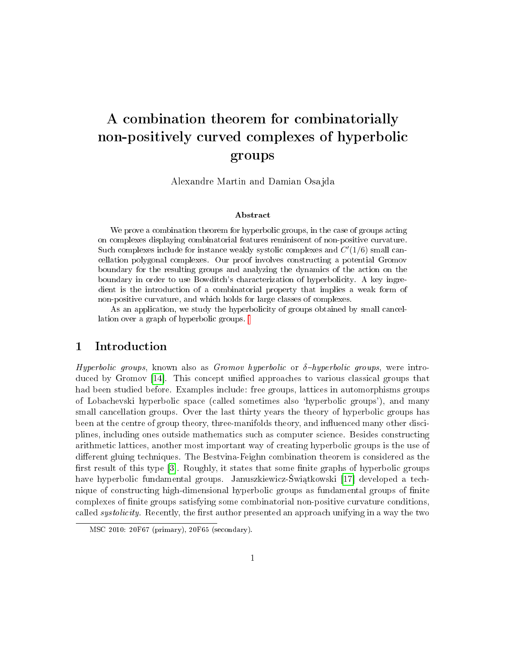# A combination theorem for combinatorially non-positively curved complexes of hyperbolic groups

Alexandre Martin and Damian Osajda

#### Abstract

We prove a combination theorem for hyperbolic groups, in the case of groups acting on complexes displaying combinatorial features reminiscent of non-positive curvature. Such complexes include for instance weakly systolic complexes and  $C'(1/6)$  small cancellation polygonal complexes. Our proof involves constructing a potential Gromov boundary for the resulting groups and analyzing the dynamics of the action on the boundary in order to use Bowditch's characterization of hyperbolicity. A key ingredient is the introduction of a combinatorial property that implies a weak form of non-positive curvature, and which holds for large classes of complexes.

As an application, we study the hyperbolicity of groups obtained by small cancellation over a graph of hyperbolic groups.

# 1 Introduction

Hyperbolic groups, known also as Gromov hyperbolic or  $\delta$ -hyperbolic groups, were intro-duced by Gromov [\[14\]](#page-36-0). This concept unified approaches to various classical groups that had been studied before. Examples include: free groups, lattices in automorphisms groups of Lobachevski hyperbolic space (called sometimes also `hyperbolic groups'), and many small cancellation groups. Over the last thirty years the theory of hyperbolic groups has been at the centre of group theory, three-manifolds theory, and influenced many other disciplines, including ones outside mathematics such as computer science. Besides constructing arithmetic lattices, another most important way of creating hyperbolic groups is the use of different gluing techniques. The Bestvina-Feighn combination theorem is considered as the first result of this type  $[3]$ . Roughly, it states that some finite graphs of hyperbolic groups have hyperbolic fundamental groups. Januszkiewicz-Światkowski [\[17\]](#page-36-2) developed a technique of constructing high-dimensional hyperbolic groups as fundamental groups of nite complexes of finite groups satisfying some combinatorial non-positive curvature conditions, called *systolicity*. Recently, the first author presented an approach unifying in a way the two

MSC 2010: 20F67 (primary), 20F65 (secondary).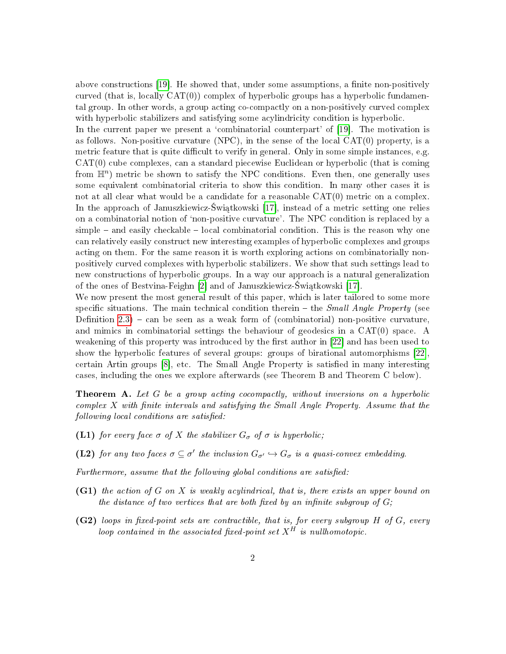above constructions [\[19\]](#page-37-0). He showed that, under some assumptions, a finite non-positively curved (that is, locally  $CAT(0)$ ) complex of hyperbolic groups has a hyperbolic fundamental group. In other words, a group acting co-compactly on a non-positively curved complex with hyperbolic stabilizers and satisfying some acylindricity condition is hyperbolic.

In the current paper we present a 'combinatorial counterpart' of [\[19\]](#page-37-0). The motivation is as follows. Non-positive curvature (NPC), in the sense of the local CAT(0) property, is a metric feature that is quite difficult to verify in general. Only in some simple instances, e.g. CAT(0) cube complexes, can a standard piecewise Euclidean or hyperbolic (that is coming from  $\mathbb{H}^n$ ) metric be shown to satisfy the NPC conditions. Even then, one generally uses some equivalent combinatorial criteria to show this condition. In many other cases it is not at all clear what would be a candidate for a reasonable  $CAT(0)$  metric on a complex. In the approach of Januszkiewicz-Świątkowski [\[17\]](#page-36-2), instead of a metric setting one relies on a combinatorial notion of `non-positive curvature'. The NPC condition is replaced by a  $\mathbf{simple}$  – and easily checkable – local combinatorial condition. This is the reason why one can relatively easily construct new interesting examples of hyperbolic complexes and groups acting on them. For the same reason it is worth exploring actions on combinatorially nonpositively curved complexes with hyperbolic stabilizers. We show that such settings lead to new constructions of hyperbolic groups. In a way our approach is a natural generalization of the ones of Bestvina-Feighn [\[2\]](#page-35-0) and of Januszkiewicz-Świątkowski [\[17\]](#page-36-2).

We now present the most general result of this paper, which is later tailored to some more specific situations. The main technical condition therein  $-$  the *Small Angle Property* (see Definition  $2.3$ ) – can be seen as a weak form of (combinatorial) non-positive curvature. and mimics in combinatorial settings the behaviour of geodesics in a CAT(0) space. A weakening of this property was introduced by the first author in [\[22\]](#page-37-1) and has been used to show the hyperbolic features of several groups: groups of birational automorphisms [\[22\]](#page-37-1), certain Artin groups [\[8\]](#page-36-3), etc. The Small Angle Property is satised in many interesting cases, including the ones we explore afterwards (see Theorem B and Theorem C below).

Theorem A. Let G be a group acting cocompactly, without inversions on a hyperbolic  $complex X$  with finite intervals and satisfying the Small Angle Property. Assume that the following local conditions are satisfied:

- (L1) for every face  $\sigma$  of X the stabilizer  $G_{\sigma}$  of  $\sigma$  is hyperbolic;
- (L2) for any two faces  $\sigma \subseteq \sigma'$  the inclusion  $G_{\sigma'} \hookrightarrow G_{\sigma}$  is a quasi-convex embedding.

Furthermore, assume that the following global conditions are satisfied:

- (G1) the action of G on X is weakly acylindrical, that is, there exists an upper bound on the distance of two vertices that are both fixed by an infinite subgroup of  $G$ ;
- $(G2)$  loops in fixed-point sets are contractible, that is, for every subgroup H of G, every loop contained in the associated fixed-point set  $X^H$  is nullhomotopic.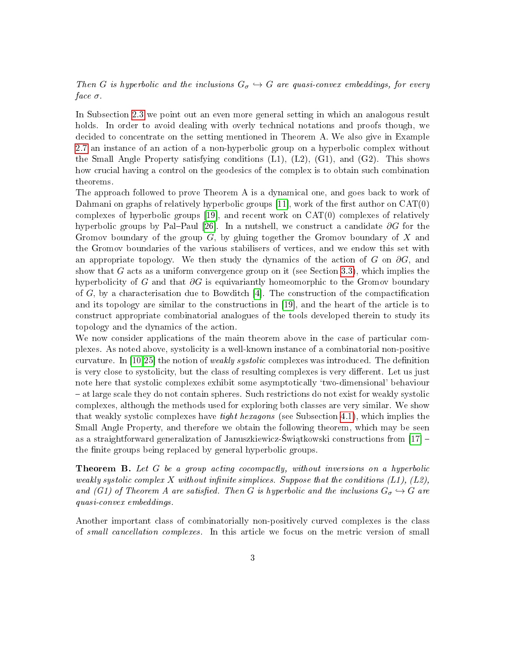Then G is hyperbolic and the inclusions  $G_{\sigma} \hookrightarrow G$  are quasi-convex embeddings, for every face  $\sigma$ .

In Subsection [2.3](#page-8-0) we point out an even more general setting in which an analogous result holds. In order to avoid dealing with overly technical notations and proofs though, we decided to concentrate on the setting mentioned in Theorem A. We also give in Example [2.7](#page-8-1) an instance of an action of a non-hyperbolic group on a hyperbolic complex without the Small Angle Property satisfying conditions (L1), (L2), (G1), and (G2). This shows how crucial having a control on the geodesics of the complex is to obtain such combination theorems.

The approach followed to prove Theorem A is a dynamical one, and goes back to work of Dahmani on graphs of relatively hyperbolic groups  $[11]$ , work of the first author on  $CAT(0)$ complexes of hyperbolic groups [\[19\]](#page-37-0), and recent work on  $CAT(0)$  complexes of relatively hyperbolic groups by Pal-Paul [\[26\]](#page-37-2). In a nutshell, we construct a candidate  $\partial G$  for the Gromov boundary of the group  $G$ , by gluing together the Gromov boundary of X and the Gromov boundaries of the various stabilisers of vertices, and we endow this set with an appropriate topology. We then study the dynamics of the action of G on  $\partial G$ , and show that G acts as a uniform convergence group on it (see Section [3.3\)](#page-15-0), which implies the hyperbolicity of G and that  $\partial G$  is equivariantly homeomorphic to the Gromov boundary of G, by a characterisation due to Bowditch [\[4\]](#page-36-5). The construction of the compactification and its topology are similar to the constructions in [\[19\]](#page-37-0), and the heart of the article is to construct appropriate combinatorial analogues of the tools developed therein to study its topology and the dynamics of the action.

We now consider applications of the main theorem above in the case of particular complexes. As noted above, systolicity is a well-known instance of a combinatorial non-positive curvature. In  $[10,25]$  $[10,25]$  the notion of *weakly systolic* complexes was introduced. The definition is very close to systolicity, but the class of resulting complexes is very different. Let us just note here that systolic complexes exhibit some asymptotically `two-dimensional' behaviour at large scale they do not contain spheres. Such restrictions do not exist for weakly systolic complexes, although the methods used for exploring both classes are very similar. We show that weakly systolic complexes have tight hexagons (see Subsection [4.1\)](#page-15-1), which implies the Small Angle Property, and therefore we obtain the following theorem, which may be seen as a straightforward generalization of Januszkiewicz-Świątkowski constructions from  $[17]$  the finite groups being replaced by general hyperbolic groups.

Theorem B. Let G be a group acting cocompactly, without inversions on a hyperbolic weakly systolic complex X without infinite simplices. Suppose that the conditions  $(L1)$ ,  $(L2)$ , and (G1) of Theorem A are satisfied. Then G is hyperbolic and the inclusions  $G_{\sigma} \hookrightarrow G$  are quasi-convex embeddings.

Another important class of combinatorially non-positively curved complexes is the class of small cancellation complexes. In this article we focus on the metric version of small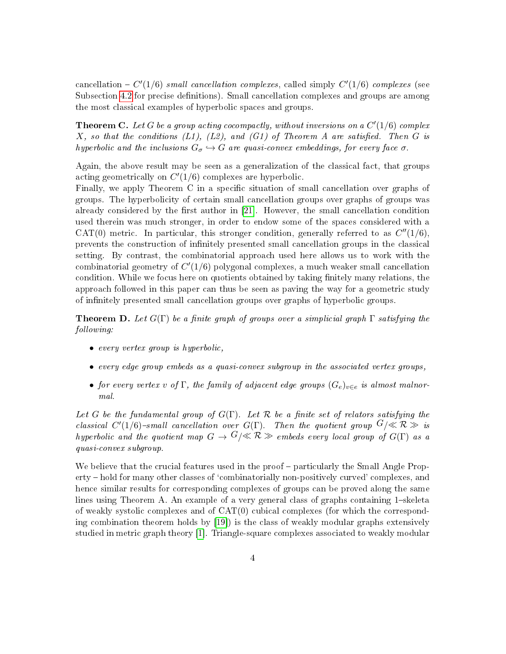cancellation  $-C'(1/6)$  small cancellation complexes, called simply  $C'(1/6)$  complexes (see Subsection [4.2](#page-21-0) for precise definitions). Small cancellation complexes and groups are among the most classical examples of hyperbolic spaces and groups.

**Theorem C.** Let G be a group acting cocompactly, without inversions on a  $C'(1/6)$  complex  $X$ , so that the conditions (L1), (L2), and (G1) of Theorem A are satisfied. Then G is hyperbolic and the inclusions  $G_{\sigma} \hookrightarrow G$  are quasi-convex embeddings, for every face  $\sigma$ .

Again, the above result may be seen as a generalization of the classical fact, that groups acting geometrically on  $C'(1/6)$  complexes are hyperbolic.

Finally, we apply Theorem C in a specific situation of small cancellation over graphs of groups. The hyperbolicity of certain small cancellation groups over graphs of groups was already considered by the first author in  $[21]$ . However, the small cancellation condition used therein was much stronger, in order to endow some of the spaces considered with a CAT(0) metric. In particular, this stronger condition, generally referred to as  $C''(1/6)$ , prevents the construction of innitely presented small cancellation groups in the classical setting. By contrast, the combinatorial approach used here allows us to work with the combinatorial geometry of  $C'(1/6)$  polygonal complexes, a much weaker small cancellation condition. While we focus here on quotients obtained by taking finitely many relations, the approach followed in this paper can thus be seen as paving the way for a geometric study of innitely presented small cancellation groups over graphs of hyperbolic groups.

**Theorem D.** Let  $G(\Gamma)$  be a finite graph of groups over a simplicial graph  $\Gamma$  satisfying the following:

- every vertex group is hyperbolic,
- every edge group embeds as a quasi-convex subgroup in the associated vertex groups,
- for every vertex v of Γ, the family of adjacent edge groups  $(G_e)_{e \in e}$  is almost malnormal.

Let G be the fundamental group of  $G(\Gamma)$ . Let R be a finite set of relators satisfying the classical  $C'(1/6)$ -small cancellation over  $G(\Gamma)$ . Then the quotient group  $G/\ll R \gg$  is hyperbolic and the quotient map  $G \to G/\ll \mathcal{R} \gg$  embeds every local group of  $G(\Gamma)$  as a quasi-convex subgroup.

We believe that the crucial features used in the proof – particularly the Small Angle Property – hold for many other classes of 'combinatorially non-positively curved' complexes, and hence similar results for corresponding complexes of groups can be proved along the same lines using Theorem A. An example of a very general class of graphs containing  $1$ -skeleta of weakly systolic complexes and of  $CAT(0)$  cubical complexes (for which the corresponding combination theorem holds by [\[19\]](#page-37-0)) is the class of weakly modular graphs extensively studied in metric graph theory [\[1\]](#page-35-1). Triangle-square complexes associated to weakly modular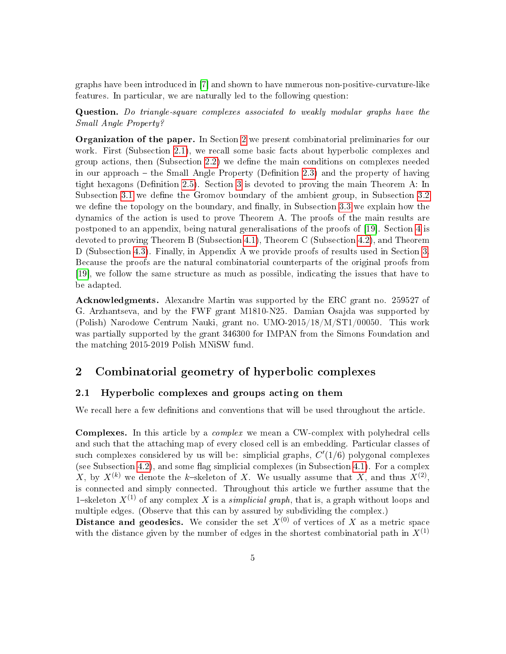graphs have been introduced in [\[7\]](#page-36-7) and shown to have numerous non-positive-curvature-like features. In particular, we are naturally led to the following question:

Question. Do triangle-square complexes associated to weakly modular graphs have the Small Angle Property?

Organization of the paper. In Section [2](#page-4-0) we present combinatorial preliminaries for our work. First (Subsection [2.1\)](#page-4-1), we recall some basic facts about hyperbolic complexes and group actions, then  $(Subsection 2.2)$  $(Subsection 2.2)$  we define the main conditions on complexes needed in our approach  $-$  the Small Angle Property (Definition [2.3\)](#page-6-0) and the property of having tight hexagons (Definition [2.5\)](#page-7-0). Section [3](#page-9-0) is devoted to proving the main Theorem A: In Subsection [3.1](#page-9-1) we define the Gromov boundary of the ambient group, in Subsection [3.2](#page-12-0) we define the topology on the boundary, and finally, in Subsection  $3.3$  we explain how the dynamics of the action is used to prove Theorem A. The proofs of the main results are postponed to an appendix, being natural generalisations of the proofs of [\[19\]](#page-37-0). Section [4](#page-15-2) is devoted to proving Theorem B (Subsection [4.1\)](#page-15-1), Theorem C (Subsection [4.2\)](#page-21-0), and Theorem D (Subsection [4.3\)](#page-24-0). Finally, in Appendix A we provide proofs of results used in Section [3.](#page-9-0) Because the proofs are the natural combinatorial counterparts of the original proofs from [\[19\]](#page-37-0), we follow the same structure as much as possible, indicating the issues that have to be adapted.

Acknowledgments. Alexandre Martin was supported by the ERC grant no. 259527 of G. Arzhantseva, and by the FWF grant M1810-N25. Damian Osajda was supported by (Polish) Narodowe Centrum Nauki, grant no. UMO-2015/18/M/ST1/00050. This work was partially supported by the grant 346300 for IMPAN from the Simons Foundation and the matching 2015-2019 Polish MNiSW fund.

# <span id="page-4-0"></span>2 Combinatorial geometry of hyperbolic complexes

### <span id="page-4-1"></span>2.1 Hyperbolic complexes and groups acting on them

We recall here a few definitions and conventions that will be used throughout the article.

Complexes. In this article by a complex we mean a CW-complex with polyhedral cells and such that the attaching map of every closed cell is an embedding. Particular classes of such complexes considered by us will be: simplicial graphs,  $C'(1/6)$  polygonal complexes (see Subsection [4.2\)](#page-21-0), and some flag simplicial complexes (in Subsection [4.1\)](#page-15-1). For a complex X, by  $X^{(k)}$  we denote the k-skeleton of X. We usually assume that X, and thus  $X^{(2)}$ , is connected and simply connected. Throughout this article we further assume that the 1-skeleton  $X^{(1)}$  of any complex X is a *simplicial graph*, that is, a graph without loops and multiple edges. (Observe that this can by assured by subdividing the complex.)

**Distance and geodesics.** We consider the set  $X^{(0)}$  of vertices of X as a metric space with the distance given by the number of edges in the shortest combinatorial path in  $X^{(1)}$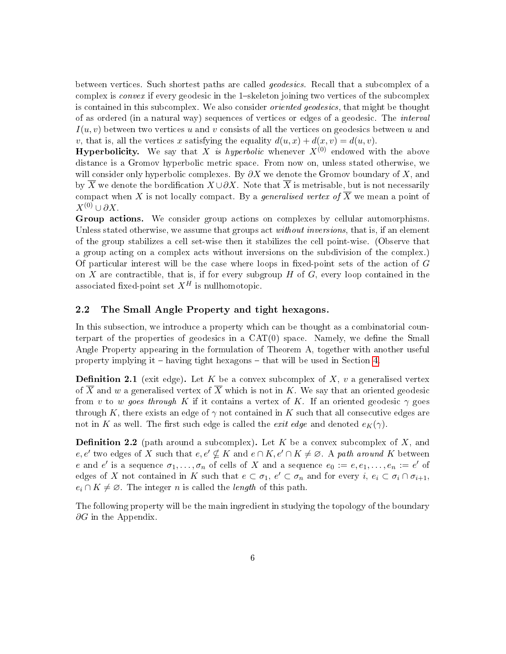between vertices. Such shortest paths are called geodesics. Recall that a subcomplex of a complex is *convex* if every geodesic in the 1-skeleton joining two vertices of the subcomplex is contained in this subcomplex. We also consider oriented geodesics, that might be thought of as ordered (in a natural way) sequences of vertices or edges of a geodesic. The interval  $I(u, v)$  between two vertices u and v consists of all the vertices on geodesics between u and v, that is, all the vertices x satisfying the equality  $d(u, x) + d(x, v) = d(u, v)$ .

**Hyperbolicity.** We say that X is hyperbolic whenever  $X^{(0)}$  endowed with the above distance is a Gromov hyperbolic metric space. From now on, unless stated otherwise, we will consider only hyperbolic complexes. By  $\partial X$  we denote the Gromov boundary of X, and by  $\overline{X}$  we denote the bordification  $X \cup \partial X$ . Note that  $\overline{X}$  is metrisable, but is not necessarily compact when X is not locally compact. By a *generalised vertex of*  $\overline{X}$  we mean a point of  $X^{(0)} \cup \partial X$ .

Group actions. We consider group actions on complexes by cellular automorphisms. Unless stated otherwise, we assume that groups act *without inversions*, that is, if an element of the group stabilizes a cell set-wise then it stabilizes the cell point-wise. (Observe that a group acting on a complex acts without inversions on the subdivision of the complex.) Of particular interest will be the case where loops in fixed-point sets of the action of  $G$ on X are contractible, that is, if for every subgroup  $H$  of  $G$ , every loop contained in the associated fixed-point set  $X^H$  is nullhomotopic.

### <span id="page-5-0"></span>2.2 The Small Angle Property and tight hexagons.

In this subsection, we introduce a property which can be thought as a combinatorial counterpart of the properties of geodesics in a  $CAT(0)$  space. Namely, we define the Small Angle Property appearing in the formulation of Theorem A, together with another useful property implying it  $-$  having tight hexagons  $-$  that will be used in Section [4.](#page-15-2)

**Definition 2.1** (exit edge). Let K be a convex subcomplex of X,  $v$  a generalised vertex of  $\overline{X}$  and w a generalised vertex of  $\overline{X}$  which is not in K. We say that an oriented geodesic from v to w goes through K if it contains a vertex of K. If an oriented geodesic  $\gamma$  goes through K, there exists an edge of  $\gamma$  not contained in K such that all consecutive edges are not in K as well. The first such edge is called the *exit edge* and denoted  $e_K(\gamma)$ .

**Definition 2.2** (path around a subcomplex). Let K be a convex subcomplex of X, and e, e' two edges of X such that  $e, e' \nsubseteq K$  and  $e \cap K, e' \cap K \neq \emptyset$ . A path around K between e and e' is a sequence  $\sigma_1, \ldots, \sigma_n$  of cells of X and a sequence  $e_0 := e, e_1, \ldots, e_n := e'$  of edges of X not contained in K such that  $e \subset \sigma_1$ ,  $e' \subset \sigma_n$  and for every  $i, e_i \subset \sigma_i \cap \sigma_{i+1}$ ,  $e_i \cap K \neq \emptyset$ . The integer *n* is called the *length* of this path.

The following property will be the main ingredient in studying the topology of the boundary  $\partial G$  in the Appendix.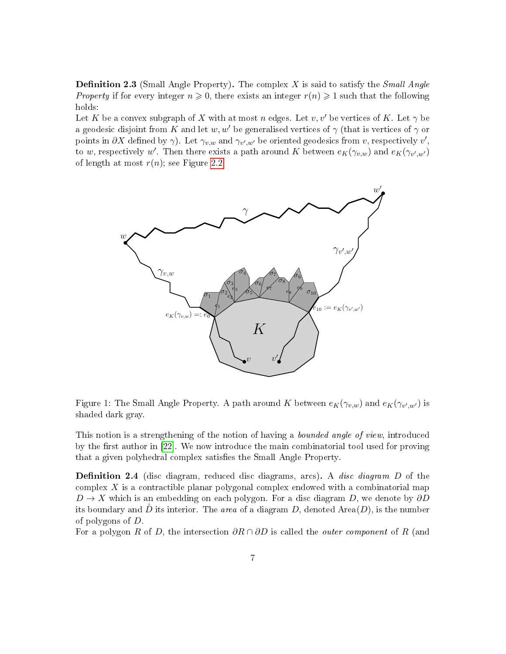<span id="page-6-0"></span>**Definition 2.3** (Small Angle Property). The complex X is said to satisfy the *Small Angle* Property if for every integer  $n \geqslant 0$ , there exists an integer  $r(n) \geqslant 1$  such that the following holds:

Let K be a convex subgraph of X with at most n edges. Let v, v' be vertices of K. Let  $\gamma$  be a geodesic disjoint from K and let w, w' be generalised vertices of  $\gamma$  (that is vertices of  $\gamma$  or points in  $\partial X$  defined by  $\gamma$ ). Let  $\gamma_{v,w}$  and  $\gamma_{v',w'}$  be oriented geodesics from v, respectively v', to w, respectively w'. Then there exists a path around K between  $e_K(\gamma_{v,w})$  and  $e_K(\gamma_{v',w'})$ of length at most  $r(n)$ ; see Figure [2.2.](#page-6-0)



Figure 1: The Small Angle Property. A path around K between  $e_K(\gamma_{v,w})$  and  $e_K(\gamma_{v',w'})$  is shaded dark gray.

This notion is a strengthening of the notion of having a *bounded angle of view*, introduced by the first author in [\[22\]](#page-37-1). We now introduce the main combinatorial tool used for proving that a given polyhedral complex satisfies the Small Angle Property.

**Definition 2.4** (disc diagram, reduced disc diagrams, arcs). A *disc diagram*  $D$  of the complex  $X$  is a contractible planar polygonal complex endowed with a combinatorial map  $D \to X$  which is an embedding on each polygon. For a disc diagram D, we denote by  $\partial D$ its boundary and D its interior. The area of a diagram D, denoted Area $(D)$ , is the number of polygons of D.

For a polygon R of D, the intersection  $\partial R \cap \partial D$  is called the *outer component* of R (and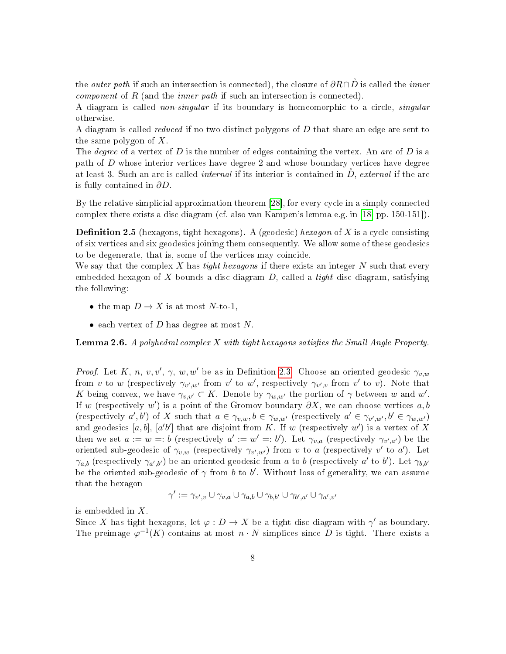the *outer path* if such an intersection is connected), the closure of  $\partial R \cap \tilde{D}$  is called the *inner component* of  $R$  (and the *inner path* if such an intersection is connected).

A diagram is called non-singular if its boundary is homeomorphic to a circle, singular otherwise.

A diagram is called reduced if no two distinct polygons of D that share an edge are sent to the same polygon of  $X$ .

The *degree* of a vertex of D is the number of edges containing the vertex. An arc of D is a path of D whose interior vertices have degree 2 and whose boundary vertices have degree at least 3. Such an arc is called *internal* if its interior is contained in  $D$ , external if the arc is fully contained in  $\partial D$ .

By the relative simplicial approximation theorem [\[28\]](#page-37-5), for every cycle in a simply connected complex there exists a disc diagram (cf. also van Kampen's lemma e.g. in [\[18,](#page-37-6) pp. 150-151]).

<span id="page-7-0"></span>**Definition 2.5** (hexagons, tight hexagons). A (geodesic) hexagon of X is a cycle consisting of six vertices and six geodesics joining them consequently. We allow some of these geodesics to be degenerate, that is, some of the vertices may coincide.

We say that the complex X has tight hexagons if there exists an integer  $N$  such that every embedded hexagon of  $X$  bounds a disc diagram  $D$ , called a *tight* disc diagram, satisfying the following:

- the map  $D \to X$  is at most N-to-1,
- each vertex of D has degree at most N.

<span id="page-7-1"></span>**Lemma 2.6.** A polyhedral complex  $X$  with tight hexagons satisfies the Small Angle Property.

*Proof.* Let K, n, v, v',  $\gamma$ , w, w' be as in Definition [2.3.](#page-6-0) Choose an oriented geodesic  $\gamma_{v,w}$ from v to w (respectively  $\gamma_{v',w'}$  from v' to w', respectively  $\gamma_{v',v}$  from v' to v). Note that K being convex, we have  $\gamma_{v,v'} \subset K$ . Denote by  $\gamma_{w,w'}$  the portion of  $\gamma$  between w and w'. If w (respectively w') is a point of the Gromov boundary  $\partial X$ , we can choose vertices a, b (respectively  $a', b'$ ) of X such that  $a \in \gamma_{v,w}, b \in \gamma_{w,w'}$  (respectively  $a' \in \gamma_{v',w'}, b' \in \gamma_{w,w'}$ ) and geodesics [a, b], [a'b'] that are disjoint from K. If w (respectively w') is a vertex of X then we set  $a := w =: b$  (respectively  $a' := w' =: b'$ ). Let  $\gamma_{v,a}$  (respectively  $\gamma_{v',a'}$ ) be the oriented sub-geodesic of  $\gamma_{v,w}$  (respectively  $\gamma_{v',w'}$ ) from v to a (respectively v' to a'). Let  $\gamma_{a,b}$  (respectively  $\gamma_{a',b'}$ ) be an oriented geodesic from a to b (respectively a' to b'). Let  $\gamma_{b,b'}$ be the oriented sub-geodesic of  $\gamma$  from b to b'. Without loss of generality, we can assume that the hexagon

$$
\gamma':=\gamma_{v',v}\cup\gamma_{v,a}\cup\gamma_{a,b}\cup\gamma_{b,b'}\cup\gamma_{b',a'}\cup\gamma_{a',v'}
$$

is embedded in X.

Since X has tight hexagons, let  $\varphi: D \to X$  be a tight disc diagram with  $\gamma'$  as boundary. The preimage  $\varphi^{-1}(K)$  contains at most  $n \cdot N$  simplices since D is tight. There exists a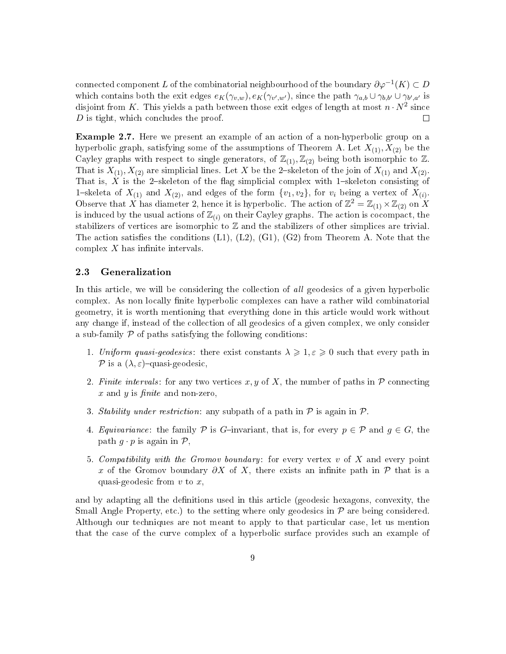connected component  $L$  of the combinatorial neighbourhood of the boundary  $\partial \varphi^{-1}(K) \subset D$ which contains both the exit edges  $e_K(\gamma_{v,w}), e_K(\gamma_{v',w'})$ , since the path  $\gamma_{a,b} \cup \gamma_{b,b'} \cup \gamma_{b',a'}$  is disjoint from K. This yields a path between those exit edges of length at most  $n \cdot N^2$  since D is tight, which concludes the proof.  $\Box$ 

<span id="page-8-1"></span>Example 2.7. Here we present an example of an action of a non-hyperbolic group on a hyperbolic graph, satisfying some of the assumptions of Theorem A. Let  $X_{(1)}, X_{(2)}$  be the Cayley graphs with respect to single generators, of  $\mathbb{Z}_{(1)}$ ,  $\mathbb{Z}_{(2)}$  being both isomorphic to  $\mathbb{Z}$ . That is  $X_{(1)}, X_{(2)}$  are simplicial lines. Let X be the 2-skeleton of the join of  $X_{(1)}$  and  $X_{(2)}$ . That is,  $X$  is the 2-skeleton of the flag simplicial complex with 1-skeleton consisting of 1-skeleta of  $X_{(1)}$  and  $X_{(2)}$ , and edges of the form  $\{v_1, v_2\}$ , for  $v_i$  being a vertex of  $X_{(i)}$ . Observe that X has diameter 2, hence it is hyperbolic. The action of  $\mathbb{Z}^2 = \mathbb{Z}_{(1)} \times \mathbb{Z}_{(2)}$  on X is induced by the usual actions of  $\mathbb{Z}_{(i)}$  on their Cayley graphs. The action is cocompact, the stabilizers of vertices are isomorphic to Z and the stabilizers of other simplices are trivial. The action satisfies the conditions  $(L1)$ ,  $(L2)$ ,  $(G1)$ ,  $(G2)$  from Theorem A. Note that the complex  $X$  has infinite intervals.

### <span id="page-8-0"></span>2.3 Generalization

In this article, we will be considering the collection of all geodesics of a given hyperbolic complex. As non locally finite hyperbolic complexes can have a rather wild combinatorial geometry, it is worth mentioning that everything done in this article would work without any change if, instead of the collection of all geodesics of a given complex, we only consider a sub-family  $P$  of paths satisfying the following conditions:

- 1. Uniform quasi-geodesics: there exist constants  $\lambda \geqslant 1, \varepsilon \geqslant 0$  such that every path in P is a  $(\lambda, \varepsilon)$ -quasi-geodesic,
- 2. Finite intervals: for any two vertices x, y of X, the number of paths in  $\mathcal P$  connecting x and y is  $finite$  and non-zero,
- 3. Stability under restriction: any subpath of a path in  $P$  is again in  $P$ .
- 4. Equivariance: the family P is G-invariant, that is, for every  $p \in \mathcal{P}$  and  $g \in G$ , the path  $g \cdot p$  is again in  $\mathcal{P}$ ,
- 5. Compatibility with the Gromov boundary: for every vertex  $v$  of  $X$  and every point x of the Gromov boundary  $\partial X$  of X, there exists an infinite path in  $\mathcal P$  that is a quasi-geodesic from  $v$  to  $x$ ,

and by adapting all the definitions used in this article (geodesic hexagons, convexity, the Small Angle Property, etc.) to the setting where only geodesics in  $P$  are being considered. Although our techniques are not meant to apply to that particular case, let us mention that the case of the curve complex of a hyperbolic surface provides such an example of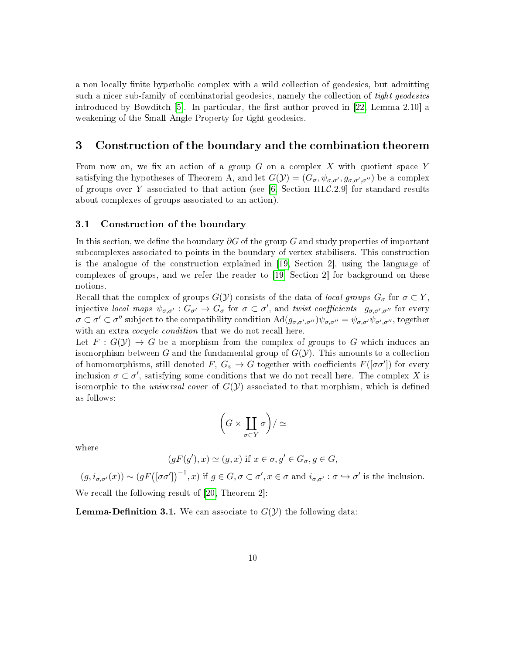a non locally finite hyperbolic complex with a wild collection of geodesics, but admitting such a nicer sub-family of combinatorial geodesics, namely the collection of tight geodesics introduced by Bowditch [\[5\]](#page-36-8). In particular, the first author proved in  $[22, \text{Lemma } 2.10]$  $[22, \text{Lemma } 2.10]$  a weakening of the Small Angle Property for tight geodesics.

# <span id="page-9-0"></span>3 Construction of the boundary and the combination theorem

From now on, we fix an action of a group  $G$  on a complex  $X$  with quotient space Y satisfying the hypotheses of Theorem A, and let  $G(\mathcal{Y}) = (G_{\sigma}, \psi_{\sigma,\sigma'}, g_{\sigma,\sigma',\sigma''})$  be a complex of groups over Y associated to that action (see [\[6,](#page-36-9) Section III.C.2.9] for standard results about complexes of groups associated to an action).

### <span id="page-9-1"></span>3.1 Construction of the boundary

In this section, we define the boundary  $\partial G$  of the group G and study properties of important subcomplexes associated to points in the boundary of vertex stabilisers. This construction is the analogue of the construction explained in [\[19,](#page-37-0) Section 2], using the language of complexes of groups, and we refer the reader to [\[19,](#page-37-0) Section 2] for background on these notions.

Recall that the complex of groups  $G(\mathcal{Y})$  consists of the data of local groups  $G_{\sigma}$  for  $\sigma \subset Y$ , injective local maps  $\psi_{\sigma,\sigma'} : G_{\sigma'} \to G_{\sigma}$  for  $\sigma \subset \sigma'$ , and twist coefficients  $g_{\sigma,\sigma',\sigma''}$  for every  $\sigma \subset \sigma' \subset \sigma''$  subject to the compatibility condition  $\text{Ad}(g_{\sigma,\sigma',\sigma''})\psi_{\sigma,\sigma''} = \psi_{\sigma,\sigma'}\psi_{\sigma',\sigma''}$ , together with an extra *cocycle condition* that we do not recall here.

Let  $F: G(Y) \to G$  be a morphism from the complex of groups to G which induces an isomorphism between G and the fundamental group of  $G(\mathcal{Y})$ . This amounts to a collection of homomorphisms, still denoted  $F, G_v \to G$  together with coefficients  $F([\sigma \sigma'])$  for every inclusion  $\sigma \subset \sigma'$ , satisfying some conditions that we do not recall here. The complex X is isomorphic to the *universal cover* of  $G(Y)$  associated to that morphism, which is defined as follows:

$$
\bigg(G\times\coprod_{\sigma\subset Y}\sigma\bigg)/\simeq
$$

where

$$
(gF(g'), x) \simeq (g, x) \text{ if } x \in \sigma, g' \in G_{\sigma}, g \in G,
$$

 $(g, i_{\sigma,\sigma'}(x)) \sim (gF([\sigma\sigma'])^{-1}, x)$  if  $g \in G, \sigma \subset \sigma', x \in \sigma$  and  $i_{\sigma,\sigma'} : \sigma \hookrightarrow \sigma'$  is the inclusion. We recall the following result of [\[20,](#page-37-7) Theorem 2]:

**Lemma-Definition 3.1.** We can associate to  $G(Y)$  the following data: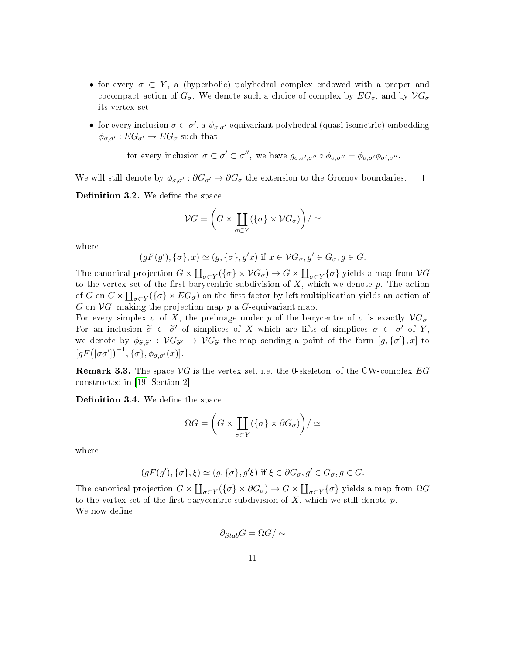- for every  $\sigma \subset Y$ , a (hyperbolic) polyhedral complex endowed with a proper and cocompact action of  $G_{\sigma}$ . We denote such a choice of complex by  $EG_{\sigma}$ , and by  $VG_{\sigma}$ its vertex set.
- for every inclusion  $\sigma \subset \sigma'$ , a  $\psi_{\sigma,\sigma'}$ -equivariant polyhedral (quasi-isometric) embedding  $\phi_{\sigma,\sigma'} : EG_{\sigma'} \to EG_{\sigma}$  such that

for every inclusion 
$$
\sigma \subset \sigma' \subset \sigma''
$$
, we have  $g_{\sigma,\sigma',\sigma''} \circ \phi_{\sigma,\sigma''} = \phi_{\sigma,\sigma'}\phi_{\sigma',\sigma''}$ .

We will still denote by  $\phi_{\sigma,\sigma'} : \partial G_{\sigma'} \to \partial G_{\sigma}$  the extension to the Gromov boundaries.  $\Box$ 

Definition 3.2. We define the space

$$
\mathcal{V}G = \left(G \times \coprod_{\sigma \subset Y} (\{\sigma\} \times \mathcal{V}G_{\sigma})\right)/\simeq
$$

where

$$
(gF(g'), \{\sigma\}, x) \simeq (g, \{\sigma\}, g'x) \text{ if } x \in \mathcal{V}G_{\sigma}, g' \in G_{\sigma}, g \in G.
$$

The canonical projection  $G \times \coprod_{\sigma \subset Y} (\{\sigma\} \times \mathcal{V}G_{\sigma}) \to G \times \coprod_{\sigma \subset Y} \{\sigma\}$  yields a map from  $\mathcal{V}G$ to the vertex set of the first barycentric subdivision of  $X$ , which we denote  $p$ . The action of G on  $G \times \coprod_{\sigma \subset Y} (\{\sigma\} \times EG_{\sigma})$  on the first factor by left multiplication yields an action of G on  $\mathcal{V}G$ , making the projection map p a G-equivariant map.

For every simplex  $\sigma$  of X, the preimage under p of the barycentre of  $\sigma$  is exactly  $\mathcal{V}G_{\sigma}$ . For an inclusion  $\tilde{\sigma} \subset \tilde{\sigma}'$  of simplices of X which are lifts of simplices  $\sigma \subset \sigma'$  of Y, we denote by  $\phi_{\tilde{\sigma}, \tilde{\sigma}'} : \mathcal{V}G_{\tilde{\sigma}} \to \mathcal{V}G_{\tilde{\sigma}}$  the map sending a point of the form  $[g, {\{\sigma'}\},x]$  to  $[gF([\sigma\sigma'])^{-1}, \{\sigma\}, \phi_{\sigma,\sigma'}(x)].$ 

**Remark 3.3.** The space  $\mathcal{V}G$  is the vertex set, i.e. the 0-skeleton, of the CW-complex  $EG$ constructed in [\[19,](#page-37-0) Section 2].

Definition 3.4. We define the space

$$
\Omega G = \left( G \times \coprod_{\sigma \subset Y} (\{\sigma\} \times \partial G_{\sigma}) \right) / \simeq
$$

where

$$
(gF(g'), \{\sigma\}, \xi) \simeq (g, \{\sigma\}, g'\xi) \text{ if } \xi \in \partial G_{\sigma}, g' \in G_{\sigma}, g \in G.
$$

The canonical projection  $G \times \coprod_{\sigma \subset Y} (\{\sigma\} \times \partial G_{\sigma}) \to G \times \coprod_{\sigma \subset Y} \{\sigma\}$  yields a map from  $\Omega G$ to the vertex set of the first barycentric subdivision of  $X$ , which we still denote  $p$ . We now define

$$
\partial_{Stab}G=\Omega G/\sim
$$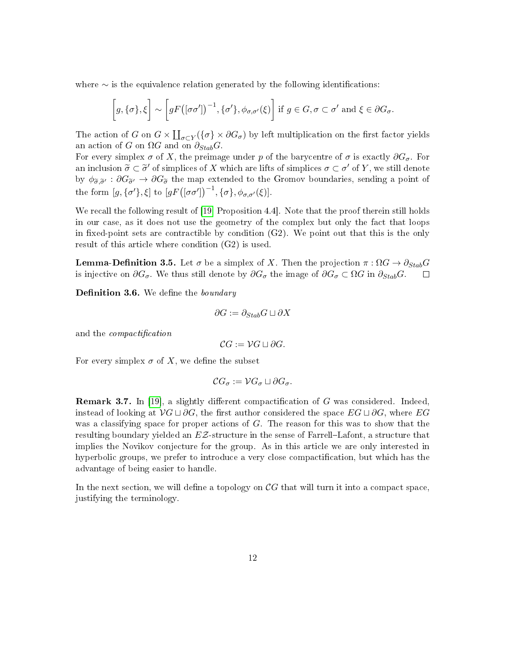where  $\sim$  is the equivalence relation generated by the following identifications:

$$
\left[g,\{\sigma\},\xi\right] \sim \left[gF\big([\sigma\sigma']\big)^{-1},\{\sigma'\},\phi_{\sigma,\sigma'}(\xi)\right] \text{ if } g \in G, \sigma \subset \sigma' \text{ and } \xi \in \partial G_{\sigma}.
$$

The action of G on  $G \times \coprod_{\sigma \subset Y} (\{\sigma\} \times \partial G_{\sigma})$  by left multiplication on the first factor yields an action of G on  $\Omega G$  and on  $\partial_{Stab}G$ .

For every simplex  $\sigma$  of X, the preimage under p of the barycentre of  $\sigma$  is exactly  $\partial G_{\sigma}$ . For an inclusion  $\tilde{\sigma} \subset \tilde{\sigma}'$  of simplices of X which are lifts of simplices  $\sigma \subset \sigma'$  of Y, we still denote by  $\phi_{\tilde{\sigma},\tilde{\sigma}'}$ :  $\partial G_{\tilde{\sigma}'} \to \partial G_{\tilde{\sigma}}$  the map extended to the Gromov boundaries, sending a point of the form  $[g, \{\sigma'\}, \xi]$  to  $[gF([\sigma\sigma'])^{-1}, \{\sigma\}, \phi_{\sigma,\sigma'}(\xi)].$ 

We recall the following result of [\[19,](#page-37-0) Proposition 4.4]. Note that the proof therein still holds in our case, as it does not use the geometry of the complex but only the fact that loops in fixed-point sets are contractible by condition  $(G2)$ . We point out that this is the only result of this article where condition (G2) is used.

**Lemma-Definition 3.5.** Let  $\sigma$  be a simplex of X. Then the projection  $\pi : \Omega G \to \partial_{Stab} G$  is injective on  $\partial G_{\sigma}$ . We thus still denote by  $\partial G_{\sigma}$  the image of  $\partial G_{\sigma} \subset \Omega G$  in  $\partial_{Stab} G$ . is injective on  $\partial G_{\sigma}$ . We thus still denote by  $\partial G_{\sigma}$  the image of  $\partial G_{\sigma} \subset \Omega G$  in  $\partial_{Stab} G$ .

Definition 3.6. We define the boundary

$$
\partial G := \partial_{Stab} G \sqcup \partial X
$$

and the *compactification* 

$$
\mathcal{C}G:=\mathcal{V}G\sqcup\partial G.
$$

For every simplex  $\sigma$  of X, we define the subset

$$
\mathcal{C}G_{\sigma}:=\mathcal{V}G_{\sigma}\sqcup\partial G_{\sigma}.
$$

<span id="page-11-0"></span>**Remark 3.7.** In [\[19\]](#page-37-0), a slightly different compactification of  $G$  was considered. Indeed, instead of looking at  $\mathcal{V}G \sqcup \partial G$ , the first author considered the space  $EG \sqcup \partial G$ , where  $EG$ was a classifying space for proper actions of G. The reason for this was to show that the resulting boundary yielded an  $EZ$ -structure in the sense of Farrell–Lafont, a structure that implies the Novikov conjecture for the group. As in this article we are only interested in hyperbolic groups, we prefer to introduce a very close compactification, but which has the advantage of being easier to handle.

In the next section, we will define a topology on  $\mathcal{C}G$  that will turn it into a compact space, justifying the terminology.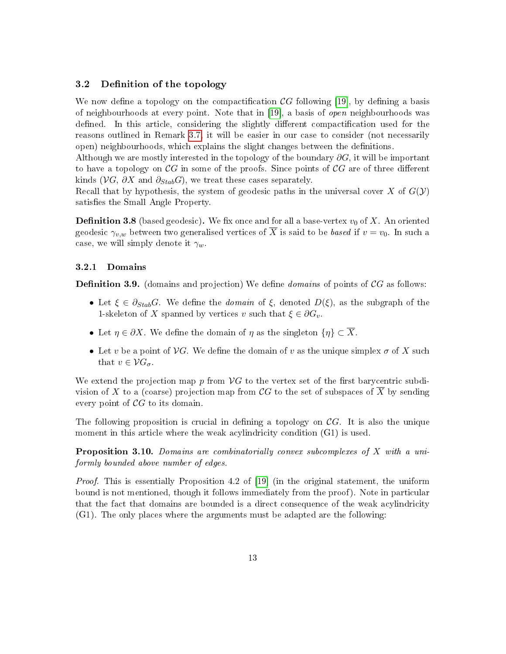### <span id="page-12-0"></span>3.2 Definition of the topology

We now define a topology on the compactification  $\mathcal{C}G$  following [\[19\]](#page-37-0), by defining a basis of neighbourhoods at every point. Note that in [\[19\]](#page-37-0), a basis of open neighbourhoods was defined. In this article, considering the slightly different compactification used for the reasons outlined in Remark [3.7,](#page-11-0) it will be easier in our case to consider (not necessarily open) neighbourhoods, which explains the slight changes between the denitions.

Although we are mostly interested in the topology of the boundary  $\partial G$ , it will be important to have a topology on  $\mathcal{C}G$  in some of the proofs. Since points of  $\mathcal{C}G$  are of three different kinds ( $\mathcal{V}G$ ,  $\partial X$  and  $\partial_{Stab}G$ ), we treat these cases separately.

Recall that by hypothesis, the system of geodesic paths in the universal cover X of  $G(\mathcal{Y})$ satisfies the Small Angle Property.

**Definition 3.8** (based geodesic). We fix once and for all a base-vertex  $v_0$  of X. An oriented geodesic  $\gamma_{v,w}$  between two generalised vertices of  $\overline{X}$  is said to be based if  $v = v_0$ . In such a case, we will simply denote it  $\gamma_w$ .

### 3.2.1 Domains

**Definition 3.9.** (domains and projection) We define *domains* of points of  $\mathcal{C}G$  as follows:

- Let  $\xi \in \partial_{Stab}G$ . We define the *domain* of  $\xi$ , denoted  $D(\xi)$ , as the subgraph of the 1-skeleton of X spanned by vertices v such that  $\xi \in \partial G_v$ .
- Let  $\eta \in \partial X$ . We define the domain of  $\eta$  as the singleton  $\{\eta\} \subset X$ .
- Let v be a point of  $\mathcal{V}G$ . We define the domain of v as the unique simplex  $\sigma$  of X such that  $v \in \mathcal{V}G_{\sigma}$ .

We extend the projection map p from  $\mathcal{V}G$  to the vertex set of the first barycentric subdivision of X to a (coarse) projection map from CG to the set of subspaces of  $\overline{X}$  by sending every point of  $\mathcal{C}G$  to its domain.

The following proposition is crucial in defining a topology on  $\mathcal{C}G$ . It is also the unique moment in this article where the weak acylindricity condition  $(G1)$  is used.

<span id="page-12-1"></span>Proposition 3.10. Domains are combinatorially convex subcomplexes of X with a uniformly bounded above number of edges.

Proof. This is essentially Proposition 4.2 of [\[19\]](#page-37-0) (in the original statement, the uniform bound is not mentioned, though it follows immediately from the proof). Note in particular that the fact that domains are bounded is a direct consequence of the weak acylindricity (G1). The only places where the arguments must be adapted are the following: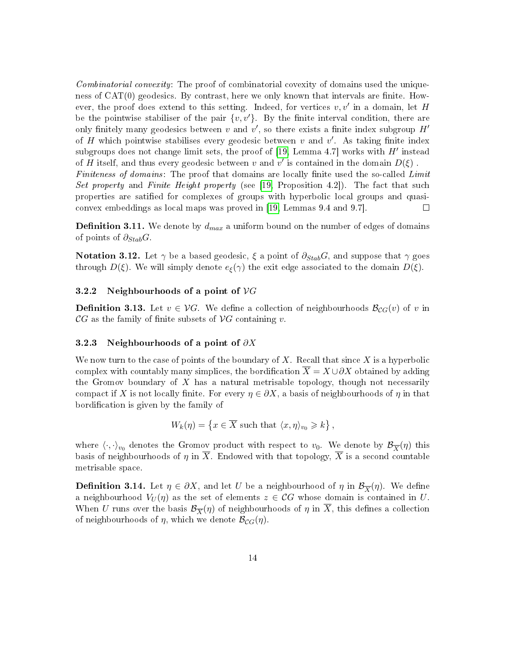Combinatorial convexity: The proof of combinatorial covexity of domains used the uniqueness of  $CAT(0)$  geodesics. By contrast, here we only known that intervals are finite. However, the proof does extend to this setting. Indeed, for vertices  $v, v'$  in a domain, let H be the pointwise stabiliser of the pair  $\{v, v'\}$ . By the finite interval condition, there are only finitely many geodesics between  $v$  and  $v'$ , so there exists a finite index subgroup  $H'$ of H which pointwise stabilises every geodesic between  $v$  and  $v'$ . As taking finite index subgroups does not change limit sets, the proof of  $[19,$  Lemma 4.7] works with  $H'$  instead of H itself, and thus every geodesic between v and v' is contained in the domain  $D(\xi)$ . Finiteness of domains: The proof that domains are locally finite used the so-called Limit Set property and Finite Height property (see  $[19,$  Proposition 4.2]). The fact that such properties are satied for complexes of groups with hyperbolic local groups and quasiconvex embeddings as local maps was proved in [\[19,](#page-37-0) Lemmas 9.4 and 9.7].  $\Box$ 

<span id="page-13-0"></span>**Definition 3.11.** We denote by  $d_{max}$  a uniform bound on the number of edges of domains of points of  $\partial_{Stab}G$ .

**Notation 3.12.** Let  $\gamma$  be a based geodesic,  $\xi$  a point of  $\partial_{Stab}G$ , and suppose that  $\gamma$  goes through  $D(\xi)$ . We will simply denote  $e_{\xi}(\gamma)$  the exit edge associated to the domain  $D(\xi)$ .

### 3.2.2 Neighbourhoods of a point of  $\mathcal{V}G$

**Definition 3.13.** Let  $v \in \mathcal{V}G$ . We define a collection of neighbourhoods  $\mathcal{B}_{CG}(v)$  of v in  $\mathcal{C}G$  as the family of finite subsets of  $\mathcal{V}G$  containing v.

### 3.2.3 Neighbourhoods of a point of  $\partial X$

We now turn to the case of points of the boundary of X. Recall that since X is a hyperbolic complex with countably many simplices, the bordification  $\overline{X} = X \cup \partial X$  obtained by adding the Gromov boundary of  $X$  has a natural metrisable topology, though not necessarily compact if X is not locally finite. For every  $\eta \in \partial X$ , a basis of neighbourhoods of  $\eta$  in that bordification is given by the family of

$$
W_k(\eta) = \left\{ x \in \overline{X} \text{ such that } \langle x, \eta \rangle_{v_0} \geqslant k \right\},\
$$

where  $\langle \cdot, \cdot \rangle_{v_0}$  denotes the Gromov product with respect to  $v_0$ . We denote by  $\mathcal{B}_{\overline{X}}(\eta)$  this basis of neighbourhoods of  $\eta$  in  $\overline{X}$ . Endowed with that topology,  $X$  is a second countable metrisable space.

**Definition 3.14.** Let  $\eta \in \partial X$ , and let U be a neighbourhood of  $\eta$  in  $\mathcal{B}_{\overline{X}}(\eta)$ . We define a neighbourhood  $V_U(\eta)$  as the set of elements  $z \in \mathcal{C}G$  whose domain is contained in U. When U runs over the basis  $\mathcal{B}_{\overline{X}}(\eta)$  of neighbourhoods of  $\eta$  in X, this defines a collection of neighbourhoods of  $\eta$ , which we denote  $\mathcal{B}_{CG}(\eta)$ .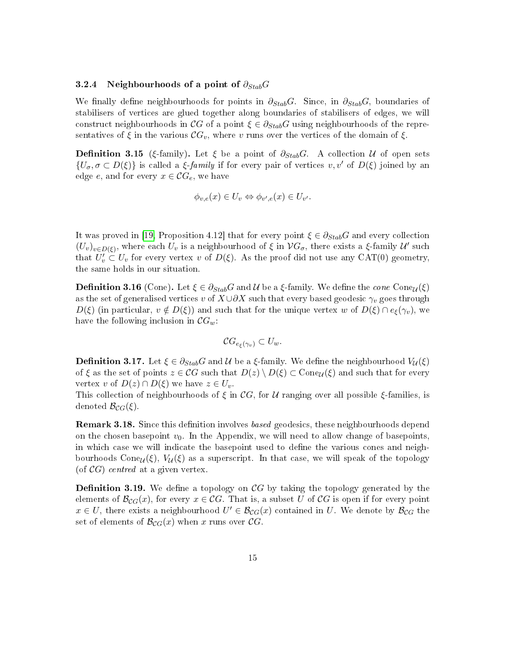#### 3.2.4 Neighbourhoods of a point of  $\partial_{Stab}G$

We finally define neighbourhoods for points in  $\partial_{Stab}G$ . Since, in  $\partial_{Stab}G$ , boundaries of stabilisers of vertices are glued together along boundaries of stabilisers of edges, we will construct neighbourhoods in CG of a point  $\xi \in \partial_{Stab}G$  using neighbourhoods of the representatives of  $\xi$  in the various  $\mathcal{C}G_v$ , where v runs over the vertices of the domain of  $\xi$ .

**Definition 3.15** (ξ-family). Let  $\xi$  be a point of  $\partial_{Stab}G$ . A collection U of open sets  $\{U_{\sigma}, \sigma \subset D(\xi)\}\$ is called a  $\xi$ -family if for every pair of vertices  $v, v'$  of  $D(\xi)$  joined by an edge e, and for every  $x \in \mathcal{C}G_e$ , we have

$$
\phi_{v,e}(x) \in U_v \Leftrightarrow \phi_{v',e}(x) \in U_{v'}.
$$

It was proved in [\[19,](#page-37-0) Proposition 4.12] that for every point  $\xi \in \partial_{Stab}G$  and every collection  $(U_v)_{v\in D(\xi)}$ , where each  $U_v$  is a neighbourhood of  $\xi$  in  $VG_{\sigma}$ , there exists a  $\xi$ -family  $\mathcal{U}'$  such that  $U'_v \subset U_v$  for every vertex v of  $D(\xi)$ . As the proof did not use any CAT(0) geometry, the same holds in our situation.

**Definition 3.16** (Cone). Let  $\xi \in \partial_{Stab}G$  and  $\mathcal{U}$  be a  $\xi$ -family. We define the cone Cone<sub> $\mathcal{U}(\xi)$ </sub> as the set of generalised vertices v of  $X \cup \partial X$  such that every based geodesic  $\gamma_v$  goes through  $D(\xi)$  (in particular,  $v \notin D(\xi)$ ) and such that for the unique vertex w of  $D(\xi) \cap e_{\xi}(\gamma_v)$ , we have the following inclusion in  $\mathcal{C}G_w$ :

$$
\mathcal{C}G_{e_{\xi}(\gamma_v)} \subset U_w.
$$

**Definition 3.17.** Let  $\xi \in \partial_{Stab}G$  and  $\mathcal{U}$  be a  $\xi$ -family. We define the neighbourhood  $V_{\mathcal{U}}(\xi)$ of  $\xi$  as the set of points  $z \in \mathcal{CG}$  such that  $D(z) \setminus D(\xi) \subset \text{Cone}_{\mathcal{U}}(\xi)$  and such that for every vertex v of  $D(z) \cap D(\xi)$  we have  $z \in U_v$ .

This collection of neighbourhoods of  $\xi$  in CG, for U ranging over all possible  $\xi$ -families, is denoted  $\mathcal{B}_{CG}(\xi)$ .

**Remark 3.18.** Since this definition involves based geodesics, these neighbourhoods depend on the chosen basepoint  $v_0$ . In the Appendix, we will need to allow change of basepoints, in which case we will indicate the basepoint used to define the various cones and neighbourhoods Cone<sub>U</sub>( $\xi$ ),  $V_u(\xi)$  as a superscript. In that case, we will speak of the topology (of  $\mathcal{C}G$ ) centred at a given vertex.

**Definition 3.19.** We define a topology on  $\mathcal{C}G$  by taking the topology generated by the elements of  $\mathcal{B}_{CG}(x)$ , for every  $x \in \mathcal{C}G$ . That is, a subset U of  $\mathcal{C}G$  is open if for every point  $x \in U$ , there exists a neighbourhood  $U' \in \mathcal{B}_{CG}(x)$  contained in U. We denote by  $\mathcal{B}_{CG}$  the set of elements of  $\mathcal{B}_{CG}(x)$  when x runs over CG.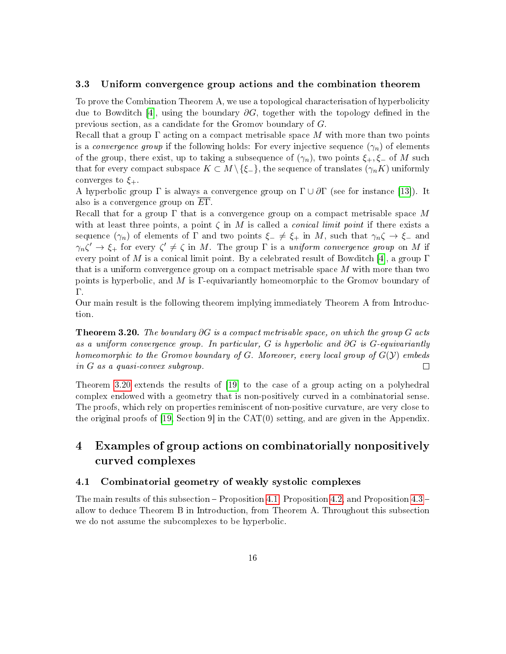#### <span id="page-15-0"></span>3.3 Uniform convergence group actions and the combination theorem

To prove the Combination Theorem A, we use a topological characterisation of hyperbolicity due to Bowditch [\[4\]](#page-36-5), using the boundary  $\partial G$ , together with the topology defined in the previous section, as a candidate for the Gromov boundary of G.

Recall that a group  $\Gamma$  acting on a compact metrisable space M with more than two points is a *convergence group* if the following holds: For every injective sequence  $(\gamma_n)$  of elements of the group, there exist, up to taking a subsequence of  $(\gamma_n)$ , two points  $\xi_+$ ,  $\xi_-$  of M such that for every compact subspace  $K \subset M \setminus \{\xi_{-}\}\$ , the sequence of translates  $(\gamma_n K)$  uniformly converges to  $\xi_{+}$ .

A hyperbolic group  $\Gamma$  is always a convergence group on  $\Gamma \cup \partial \Gamma$  (see for instance [\[13\]](#page-36-10)). It also is a convergence group on EΓ.

Recall that for a group  $\Gamma$  that is a convergence group on a compact metrisable space M with at least three points, a point  $\zeta$  in M is called a *conical limit point* if there exists a sequence  $(\gamma_n)$  of elements of  $\Gamma$  and two points  $\xi_-\neq \xi_+$  in M, such that  $\gamma_n\zeta\to \xi_-$  and  $\gamma_n\zeta' \to \xi_+$  for every  $\zeta' \neq \zeta$  in M. The group  $\Gamma$  is a uniform convergence group on M if every point of M is a conical limit point. By a celebrated result of Bowditch [\[4\]](#page-36-5), a group  $\Gamma$ that is a uniform convergence group on a compact metrisable space M with more than two points is hyperbolic, and M is Γ-equivariantly homeomorphic to the Gromov boundary of Γ.

Our main result is the following theorem implying immediately Theorem A from Introduction.

<span id="page-15-3"></span>**Theorem 3.20.** The boundary  $\partial G$  is a compact metrisable space, on which the group G acts as a uniform convergence group. In particular, G is hyperbolic and  $\partial G$  is G-equivariantly homeomorphic to the Gromov boundary of G. Moreover, every local group of  $G(\mathcal{Y})$  embeds<br>in G as a quasi-convex subgroup. in G as a quasi-convex subgroup.

Theorem [3.20](#page-15-3) extends the results of [\[19\]](#page-37-0) to the case of a group acting on a polyhedral complex endowed with a geometry that is non-positively curved in a combinatorial sense. The proofs, which rely on properties reminiscent of non-positive curvature, are very close to the original proofs of [\[19,](#page-37-0) Section 9] in the CAT(0) setting, and are given in the Appendix.

# <span id="page-15-2"></span>4 Examples of group actions on combinatorially nonpositively curved complexes

### <span id="page-15-1"></span>4.1 Combinatorial geometry of weakly systolic complexes

The main results of this subsection  $-$  Proposition [4.1,](#page-16-0) Proposition [4.2,](#page-16-1) and Proposition [4.3](#page-16-2)  $$ allow to deduce Theorem B in Introduction, from Theorem A. Throughout this subsection we do not assume the subcomplexes to be hyperbolic.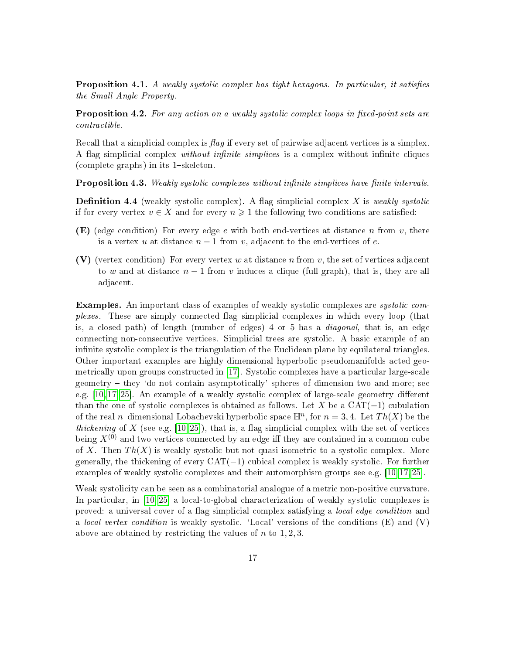<span id="page-16-0"></span>**Proposition 4.1.** A weakly systolic complex has tight hexagons. In particular, it satisfies the Small Angle Property.

<span id="page-16-1"></span>**Proposition 4.2.** For any action on a weakly systolic complex loops in fixed-point sets are contractible.

Recall that a simplicial complex is flaq if every set of pairwise adjacent vertices is a simplex. A flag simplicial complex *without infinite simplices* is a complex without infinite cliques (complete graphs) in its  $1$ -skeleton.

<span id="page-16-2"></span>**Proposition 4.3.** Weakly systolic complexes without infinite simplices have finite intervals.

<span id="page-16-3"></span>**Definition 4.4** (weakly systolic complex). A flag simplicial complex X is weakly systolic if for every vertex  $v \in X$  and for every  $n \geq 1$  the following two conditions are satisfied:

- **(E)** (edge condition) For every edge e with both end-vertices at distance n from v, there is a vertex u at distance  $n-1$  from v, adjacent to the end-vertices of e.
- (V) (vertex condition) For every vertex w at distance n from v, the set of vertices adjacent to w and at distance  $n-1$  from v induces a clique (full graph), that is, they are all adjacent.

Examples. An important class of examples of weakly systolic complexes are systolic complexes. These are simply connected ag simplicial complexes in which every loop (that is, a closed path) of length (number of edges) 4 or 5 has a diagonal, that is, an edge connecting non-consecutive vertices. Simplicial trees are systolic. A basic example of an infinite systolic complex is the triangulation of the Euclidean plane by equilateral triangles. Other important examples are highly dimensional hyperbolic pseudomanifolds acted geometrically upon groups constructed in [\[17\]](#page-36-2). Systolic complexes have a particular large-scale  $\gamma$  geometry  $-$  they 'do not contain asymptotically' spheres of dimension two and more; see e.g.  $[10, 17, 25]$  $[10, 17, 25]$  $[10, 17, 25]$ . An example of a weakly systolic complex of large-scale geometry different than the one of systolic complexes is obtained as follows. Let X be a  $CAT(-1)$  cubulation of the real *n*-dimensional Lobachevski hyperbolic space  $\mathbb{H}^n$ , for  $n = 3, 4$ . Let  $Th(X)$  be the thickening of X (see e.g. [\[10,](#page-36-6)25]), that is, a flag simplicial complex with the set of vertices being  $X^{(0)}$  and two vertices connected by an edge iff they are contained in a common cube of X. Then  $Th(X)$  is weakly systolic but not quasi-isometric to a systolic complex. More generally, the thickening of every  $CAT(-1)$  cubical complex is weakly systolic. For further examples of weakly systolic complexes and their automorphism groups see e.g. [\[10,](#page-36-6)[17,](#page-36-2)[25\]](#page-37-3).

Weak systolicity can be seen as a combinatorial analogue of a metric non-positive curvature. In particular, in [\[10,](#page-36-6) [25\]](#page-37-3) a local-to-global characterization of weakly systolic complexes is proved: a universal cover of a ag simplicial complex satisfying a local edge condition and a *local vertex condition* is weakly systolic. 'Local' versions of the conditions  $(E)$  and  $(V)$ above are obtained by restricting the values of  $n$  to  $1, 2, 3$ .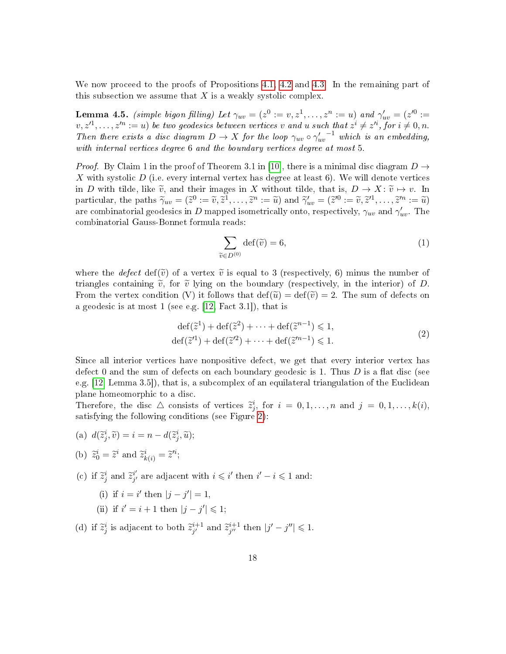We now proceed to the proofs of Propositions [4.1,](#page-16-0) [4.2](#page-16-1) and [4.3.](#page-16-2) In the remaining part of this subsection we assume that  $X$  is a weakly systolic complex.

<span id="page-17-1"></span>**Lemma 4.5.** (simple bigon filling) Let  $\gamma_{uv} = (z^0 := v, z^1, \ldots, z^n := u)$  and  $\gamma'_{uv} = (z'^0 := v, z'^0, \ldots, z^n)$  $(v, z'^1, \ldots, z'^n := u)$  be two geodesics between vertices v and u such that  $z^i \neq z'^i$ , for  $i \neq 0, n$ . Then there exists a disc diagram  $D \to X$  for the loop  $\gamma_{uv} \circ \gamma'_{uv}^{-1}$  which is an embedding, with internal vertices degree 6 and the boundary vertices degree at most 5.

*Proof.* By Claim 1 in the proof of Theorem 3.1 in [\[10\]](#page-36-6), there is a minimal disc diagram  $D \rightarrow$ X with systolic  $D$  (i.e. every internal vertex has degree at least 6). We will denote vertices in D with tilde, like  $\tilde{v}$ , and their images in X without tilde, that is,  $D \to X: \tilde{v} \mapsto v$ . In particular, the paths  $\widetilde{\gamma}_{uv} = (\widetilde{z}^0 := \widetilde{v}, \widetilde{z}^1, \dots, \widetilde{z}^n := \widetilde{u})$  and  $\widetilde{\gamma}_{uv}^{\prime} = (\widetilde{z}^{\prime 0} := \widetilde{v}, \widetilde{z}^{\prime 1}, \dots, \widetilde{z}^{\prime n} := \widetilde{u})$ are combinatorial geodesics in  $D$  mapped isometrically onto, respectively,  $\gamma_{uv}$  and  $\gamma'_{uv}$ . The combinatorial Gauss-Bonnet formula reads:

$$
\sum_{\widetilde{v} \in D^{(0)}} \det(\widetilde{v}) = 6,\tag{1}
$$

where the defect def( $\tilde{v}$ ) of a vertex  $\tilde{v}$  is equal to 3 (respectively, 6) minus the number of triangles containing  $\tilde{v}$ , for  $\tilde{v}$  lying on the boundary (respectively, in the interior) of D. From the vertex condition (V) it follows that  $\det(\widetilde{u}) = \det(\widetilde{v}) = 2$ . The sum of defects on a geodesic is at most 1 (see e.g. [\[12,](#page-36-11) Fact 3.1]), that is

$$
\begin{aligned} \det(\tilde{z}^1) + \det(\tilde{z}^2) + \dots + \det(\tilde{z}^{n-1}) &\le 1, \\ \det(\tilde{z}^{\prime 1}) + \det(\tilde{z}^{\prime 2}) + \dots + \det(\tilde{z}^{\prime n-1}) &\le 1. \end{aligned} \tag{2}
$$

Since all interior vertices have nonpositive defect, we get that every interior vertex has defect 0 and the sum of defects on each boundary geodesic is 1. Thus  $D$  is a flat disc (see e.g. [\[12,](#page-36-11) Lemma 3.5]), that is, a subcomplex of an equilateral triangulation of the Euclidean plane homeomorphic to a disc.

Therefore, the disc  $\triangle$  consists of vertices  $\tilde{z}_j^i$ , for  $i = 0, 1, ..., n$  and  $j = 0, 1, ..., k(i)$ , satisfying the following conditions (see Figure [2\)](#page-18-0):

- <span id="page-17-0"></span>(a)  $d(\tilde{z}_j^i, \tilde{v}) = i = n - d(\tilde{z}_j^i, \tilde{u});$
- (b)  $\widetilde{z}_0^i = \widetilde{z}^i$  and  $\widetilde{z}_{k(i)}^i = \widetilde{z}^{\prime i}$ ;
- (c) if  $\tilde{z}_j^i$  and  $\tilde{z}_{j'}^{i'}$  $i'_{j'}$  are adjacent with  $i \leq i'$  then  $i'-i \leq 1$  and:
	- (i) if  $i = i'$  then  $|j j'| = 1$ ,
	- (ii) if  $i' = i + 1$  then  $|j j'| \leq 1$ ;
- (d) if  $\tilde{z}_j^i$  is adjacent to both  $\tilde{z}_{j'}^{i+1}$  $_{j'}^{i+1}$  and  $\widetilde{z}_{j''}^{i+1}$  $j'' \atop j'' \text{ then } |j'-j''| \leq 1.$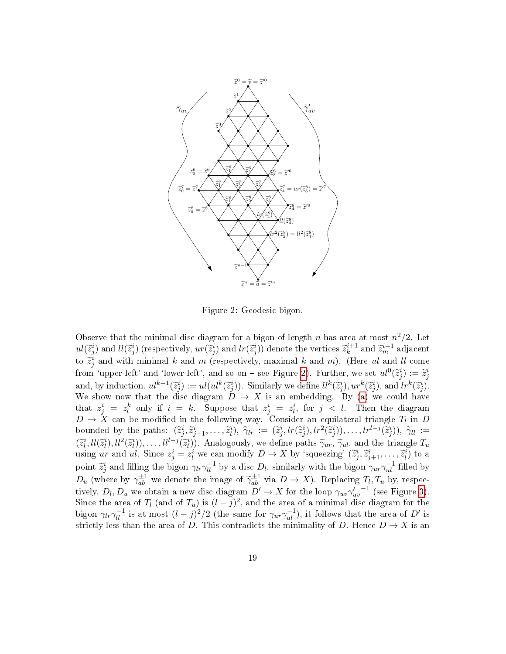

Figure 2: Geodesic bigon.

<span id="page-18-0"></span>Observe that the minimal disc diagram for a bigon of length n has area at most  $n^2/2$ . Let  $ul(\widetilde{z}_j^i)$  and  $ll(\widetilde{z}_j^i)$  (respectively,  $ur(\widetilde{z}_j^i)$  and  $lr(\widetilde{z}_j^i))$  denote the vertices  $\widetilde{z}_k^{i+1}$  $\tilde{\mathbf{z}}_k^{i+1}$  and  $\tilde{\mathbf{z}}_m^{i-1}$  adjacent to  $\tilde{z}_j^i$  and with minimal k and m (respectively, maximal k and m). (Here ul and ll come from 'upper-left' and 'lower-left', and so on – see Figure [2\)](#page-18-0). Further, we set  $ul^0(\tilde{z}_j^i) := \tilde{z}_j^i$ and, by induction,  $ul^{k+1}(\tilde{z}_j^i) := ul(ul^k(\tilde{z}_j^i))$ . Similarly we define  $ll^k(\tilde{z}_j^i)$ ,  $ur^k(\tilde{z}_j^i)$ , and  $lr^k(\tilde{z}_j^i)$ .<br>We show now that the disc discreps  $\tilde{D} \rightarrow Y$  is an embedding  $\tilde{B}v$  (a) we sould have We show now that the disc diagram  $D \to X$  is an embedding. By [\(a\)](#page-17-0) we could have that  $z_j^i = z_l^k$  only if  $i = k$ . Suppose that  $z_j^i = z_l^i$ , for  $j < l$ . Then the diagram  $D \to X$  can be modified in the following way. Consider an equilateral triangle  $T_l$  in D bounded by the paths:  $(\tilde{z}_j^i, \tilde{z}_{j+1}^i, \ldots, \tilde{z}_l^i), \tilde{\gamma}_{lr} := (\tilde{z}_j^i, lr(\tilde{z}_j^i), lr^2(\tilde{z}_j^i)), \ldots, lr^{l-j}(\tilde{z}_j^i)), \tilde{\gamma}_{ll} := (\tilde{\gamma}_j^i, Ur(\tilde{z}_j^i), \ldots, V^{l-j}(\tilde{z}_j^i)), \tilde{\gamma}_{ll} := (\tilde{\gamma}_j^i, V(\tilde{z}_j^i), \ldots, V^{l-j}(\tilde{z}_j^i))$  $(\tilde{z}_l^i, ll(\tilde{z}_l^i), ll^2(\tilde{z}_l^i)), \ldots, ll^{l-j}(\tilde{z}_l^i))$ . Analogously, we define paths  $\tilde{\gamma}_{ur}, \tilde{\gamma}_{ul}$ , and the triangle  $T_u$  using ur and ul. Since  $z_j^i = z_l^i$  we can modify  $D \to X$  by 'squeezing'  $(\tilde{z}_j^i, \tilde{z}_{j+1}^$ point  $\tilde{z}_j^i$  and filling the bigon  $\gamma_{ir}\gamma_{ll}^{-1}$  by a disc  $D_l$ , similarly with the bigon  $\gamma_{ur}\gamma_{ul}^{-1}$  filled by  $D_u$  (where by  $\gamma_{ab}^{\pm 1}$  we denote the image of  $\widetilde{\gamma}_{ab}^{\pm 1}$  via  $D \to X$ ). Replacing  $T_l, T_u$  by, respectively tively,  $D_l$ ,  $D_u$  we obtain a new disc diagram  $D' \to X$  for the loop  $\gamma_{uv}\gamma'_{uv}^{-1}$  (see Figure [3\)](#page-19-0). Since the area of  $T_l$  (and of  $T_u$ ) is  $(l - j)^2$ , and the area of a minimal disc diagram for the bigon  $\gamma_{lr}\gamma_{ll}^{-1}$  is at most  $(l-j)^2/2$  (the same for  $\gamma_{ur}\gamma_{ul}^{-1}$ ), it follows that the area of  $D'$  is strictly less than the area of D. This contradicts the minimality of D. Hence  $D \to X$  is an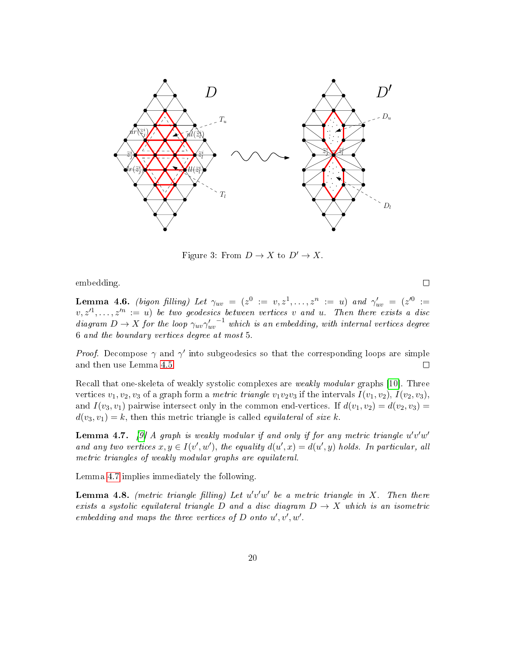

Figure 3: From  $D \to X$  to  $D' \to X$ .

<span id="page-19-0"></span>embedding.

<span id="page-19-3"></span>Lemma 4.6. (bigon filling) Let  $\gamma_{uv}$  =  $(z^0$  :=  $v, z^1, \ldots, z^n$  := u) and  $\gamma'_{uv}$  =  $(z'^0$  :=  $v, z'^1, \ldots, z'^n := u$ ) be two geodesics between vertices v and u. Then there exists a disc diagram  $D \to X$  for the loop  $\gamma_{uv}\gamma'_{uv}^{-1}$  which is an embedding, with internal vertices degree 6 and the boundary vertices degree at most 5.

*Proof.* Decompose  $\gamma$  and  $\gamma'$  into subgeodesics so that the corresponding loops are simple and then use Lemma [4.5.](#page-17-1)  $\Box$ 

Recall that one-skeleta of weakly systolic complexes are weakly modular graphs [\[10\]](#page-36-6). Three vertices  $v_1, v_2, v_3$  of a graph form a *metric triangle*  $v_1v_2v_3$  if the intervals  $I(v_1, v_2), I(v_2, v_3),$ and  $I(v_3, v_1)$  pairwise intersect only in the common end-vertices. If  $d(v_1, v_2) = d(v_2, v_3)$  $d(v_3, v_1) = k$ , then this metric triangle is called *equilateral* of size k.

<span id="page-19-1"></span>**Lemma 4.7.** [\[9\]](#page-36-12) A graph is weakly modular if and only if for any metric triangle  $u'v'w'$ and any two vertices  $x, y \in I(v', w')$ , the equality  $d(u', x) = d(u', y)$  holds. In particular, all metric triangles of weakly modular graphs are equilateral.

Lemma [4.7](#page-19-1) implies immediately the following.

<span id="page-19-2"></span>**Lemma 4.8.** (metric triangle filling) Let  $u'v'w'$  be a metric triangle in X. Then there exists a systolic equilateral triangle D and a disc diagram  $D \to X$  which is an isometric embedding and maps the three vertices of  $D$  onto  $u', v', w'$ .

 $\Box$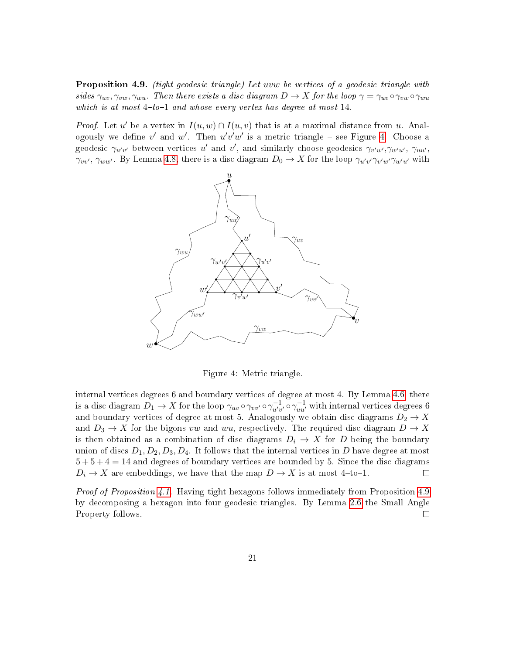<span id="page-20-1"></span>Proposition 4.9. (tight geodesic triangle) Let uvw be vertices of a geodesic triangle with sides  $\gamma_{uv}, \gamma_{vw}, \gamma_{wu}$ . Then there exists a disc diagram  $D \to X$  for the loop  $\gamma = \gamma_{uv} \circ \gamma_{vw} \circ \gamma_{wu}$ which is at most  $4-to-1$  and whose every vertex has degree at most 14.

*Proof.* Let u' be a vertex in  $I(u, w) \cap I(u, v)$  that is at a maximal distance from u. Analogously we define v' and w'. Then  $u'v'w'$  is a metric triangle – see Figure [4.](#page-20-0) Choose a geodesic  $\gamma_{u'v'}$  between vertices u' and v', and similarly choose geodesics  $\gamma_{v'w'}, \gamma_{w'u'}, \gamma_{uu'}$  $\gamma_{vv'}$ ,  $\gamma_{ww'}$ . By Lemma [4.8,](#page-19-2) there is a disc diagram  $D_0 \to X$  for the loop  $\gamma_{u'v'}\gamma_{v'w'}\gamma_{w'u'}$  with



Figure 4: Metric triangle.

<span id="page-20-0"></span>internal vertices degrees 6 and boundary vertices of degree at most 4. By Lemma [4.6,](#page-19-3) there is a disc diagram  $D_1 \to X$  for the loop  $\gamma_{uv} \circ \gamma_{vv'} \circ \gamma_{u'v'}^{-1} \circ \gamma_{uu'}^{-1}$  with internal vertices degrees 6 and boundary vertices of degree at most 5. Analogously we obtain disc diagrams  $D_2 \to X$ and  $D_3 \to X$  for the bigons vw and wu, respectively. The required disc diagram  $D \to X$ is then obtained as a combination of disc diagrams  $D_i \rightarrow X$  for D being the boundary union of discs  $D_1, D_2, D_3, D_4$ . It follows that the internal vertices in D have degree at most  $5 + 5 + 4 = 14$  and degrees of boundary vertices are bounded by 5. Since the disc diagrams  $D_i \to X$  are embeddings, we have that the map  $D \to X$  is at most 4-to-1.  $\Box$ 

Proof of Proposition [4.1.](#page-16-0) Having tight hexagons follows immediately from Proposition [4.9](#page-20-1) by decomposing a hexagon into four geodesic triangles. By Lemma [2.6](#page-7-1) the Small Angle Property follows.  $\Box$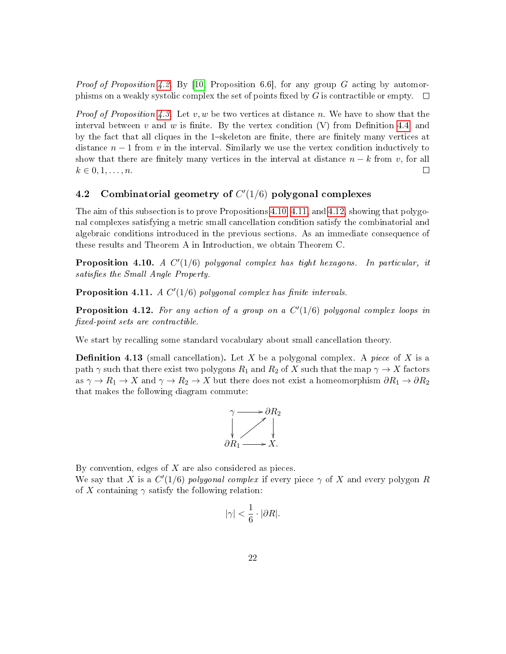*Proof of Proposition [4.2.](#page-16-1)* By [\[10,](#page-36-6) Proposition 6.6], for any group G acting by automorphisms on a weakly systolic complex the set of points fixed by  $G$  is contractible or empty.  $\Box$ 

*Proof of Proposition [4.3.](#page-16-2)* Let v, w be two vertices at distance n. We have to show that the interval between  $v$  and  $w$  is finite. By the vertex condition  $(V)$  from Definition [4.4,](#page-16-3) and by the fact that all cliques in the 1-skeleton are finite, there are finitely many vertices at distance  $n-1$  from v in the interval. Similarly we use the vertex condition inductively to show that there are finitely many vertices in the interval at distance  $n - k$  from v, for all  $k \in 0, 1, ..., n$ .  $k \in \{0, 1, \ldots, n\}$ .

# <span id="page-21-0"></span>4.2 Combinatorial geometry of  $C'(1/6)$  polygonal complexes

The aim of this subsection is to prove Propositions [4.10,](#page-21-1) [4.11,](#page-21-2) and [4.12,](#page-21-3) showing that polygonal complexes satisfying a metric small cancellation condition satisfy the combinatorial and algebraic conditions introduced in the previous sections. As an immediate consequence of these results and Theorem A in Introduction, we obtain Theorem C.

<span id="page-21-1"></span>**Proposition 4.10.** A  $C'(1/6)$  polygonal complex has tight hexagons. In particular, it satisfies the Small Angle Property.

<span id="page-21-2"></span>Proposition 4.11. A  $C'(1/6)$  polygonal complex has finite intervals.

<span id="page-21-3"></span>**Proposition 4.12.** For any action of a group on a  $C'(1/6)$  polygonal complex loops in xed-point sets are contractible.

We start by recalling some standard vocabulary about small cancellation theory.

**Definition 4.13** (small cancellation). Let X be a polygonal complex. A piece of X is a path  $\gamma$  such that there exist two polygons  $R_1$  and  $R_2$  of X such that the map  $\gamma \to X$  factors as  $\gamma \to R_1 \to X$  and  $\gamma \to R_2 \to X$  but there does not exist a homeomorphism  $\partial R_1 \to \partial R_2$ that makes the following diagram commute:



By convention, edges of  $X$  are also considered as pieces. We say that X is a  $C'(1/6)$  polygonal complex if every piece  $\gamma$  of X and every polygon R of X containing  $\gamma$  satisfy the following relation:

$$
|\gamma|<\frac{1}{6}\cdot |\partial R|.
$$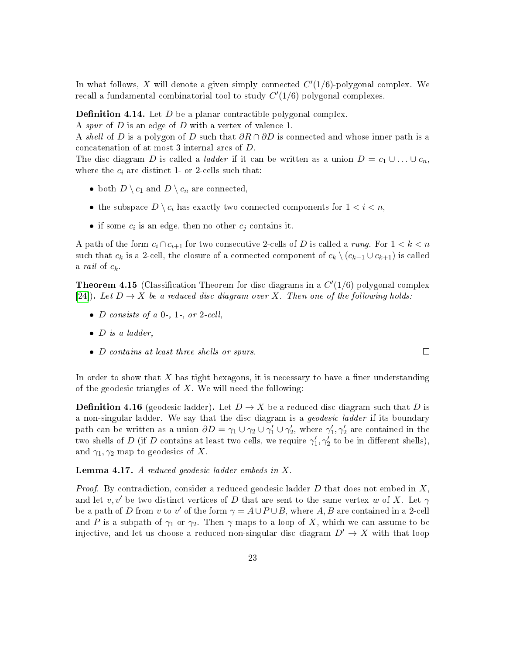In what follows, X will denote a given simply connected  $C'(1/6)$ -polygonal complex. We recall a fundamental combinatorial tool to study  $C'(1/6)$  polygonal complexes.

**Definition 4.14.** Let  $D$  be a planar contractible polygonal complex.

A spur of D is an edge of D with a vertex of valence 1.

A shell of D is a polygon of D such that  $\partial R \cap \partial D$  is connected and whose inner path is a concatenation of at most 3 internal arcs of D.

The disc diagram D is called a *ladder* if it can be written as a union  $D = c_1 \cup ... \cup c_n$ , where the  $c_i$  are distinct 1- or 2-cells such that:

- both  $D \setminus c_1$  and  $D \setminus c_n$  are connected,
- the subspace  $D \setminus c_i$  has exactly two connected components for  $1 < i < n$ ,
- if some  $c_i$  is an edge, then no other  $c_j$  contains it.

A path of the form  $c_i \cap c_{i+1}$  for two consecutive 2-cells of D is called a rung. For  $1 < k < n$ such that  $c_k$  is a 2-cell, the closure of a connected component of  $c_k \setminus (c_{k-1} \cup c_{k+1})$  is called a *rail* of  $c_k$ .

<span id="page-22-1"></span>**Theorem 4.15** (Classification Theorem for disc diagrams in a  $C'(1/6)$  polygonal complex [\[24\]](#page-37-8)). Let  $D \to X$  be a reduced disc diagram over X. Then one of the following holds:

- $D$  consists of a 0-, 1-, or 2-cell,
- $\bullet$  D is a ladder,
- D contains at least three shells or spurs.

In order to show that  $X$  has tight hexagons, it is necessary to have a finer understanding of the geodesic triangles of  $X$ . We will need the following:

**Definition 4.16** (geodesic ladder). Let  $D \to X$  be a reduced disc diagram such that D is a non-singular ladder. We say that the disc diagram is a *geodesic ladder* if its boundary path can be written as a union  $\partial D = \gamma_1 \cup \gamma_2 \cup \gamma'_1 \cup \gamma'_2$ , where  $\gamma'_1, \gamma'_2$  are contained in the two shells of D (if D contains at least two cells, we require  $\gamma'_1, \gamma'_2$  to be in different shells), and  $\gamma_1, \gamma_2$  map to geodesics of X.

<span id="page-22-0"></span>**Lemma 4.17.** A reduced geodesic ladder embeds in  $X$ .

*Proof.* By contradiction, consider a reduced geodesic ladder  $D$  that does not embed in  $X$ , and let  $v, v'$  be two distinct vertices of D that are sent to the same vertex w of X. Let  $\gamma$ be a path of D from v to v' of the form  $\gamma = A \cup P \cup B$ , where  $A, B$  are contained in a 2-cell and P is a subpath of  $\gamma_1$  or  $\gamma_2$ . Then  $\gamma$  maps to a loop of X, which we can assume to be injective, and let us choose a reduced non-singular disc diagram  $D' \to X$  with that loop

 $\Box$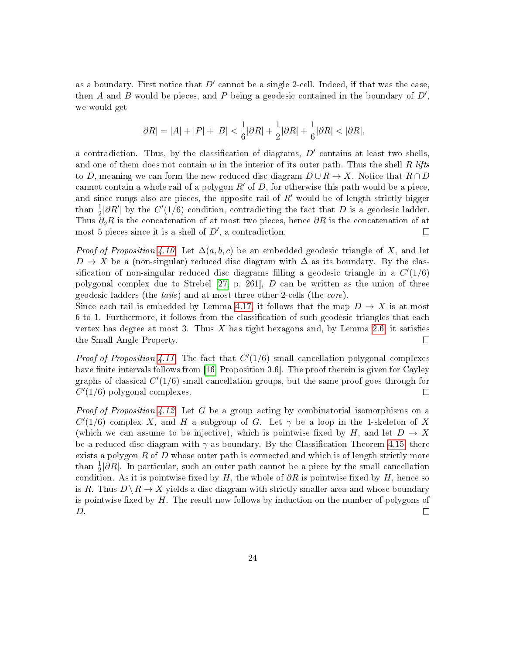as a boundary. First notice that  $D'$  cannot be a single 2-cell. Indeed, if that was the case, then A and B would be pieces, and P being a geodesic contained in the boundary of  $D'$ , we would get

$$
|\partial R| = |A|+|P|+|B| < \frac{1}{6}|\partial R|+\frac{1}{2}|\partial R|+\frac{1}{6}|\partial R| < |\partial R|,
$$

a contradiction. Thus, by the classification of diagrams,  $D'$  contains at least two shells, and one of them does not contain w in the interior of its outer path. Thus the shell R lifts to D, meaning we can form the new reduced disc diagram  $D \cup R \to X$ . Notice that  $R \cap D$ cannot contain a whole rail of a polygon  $R'$  of D, for otherwise this path would be a piece. and since rungs also are pieces, the opposite rail of  $R'$  would be of length strictly bigger than  $\frac{1}{2}|\partial R'|$  by the  $C'(1/6)$  condition, contradicting the fact that D is a geodesic ladder. Thus  $\partial_{\rho}R$  is the concatenation of at most two pieces, hence  $\partial R$  is the concatenation of at most 5 pieces since it is a shell of  $D'$ , a contradiction.  $\Box$ 

*Proof of Proposition [4.10.](#page-21-1)* Let  $\Delta(a, b, c)$  be an embedded geodesic triangle of X, and let  $D \to X$  be a (non-singular) reduced disc diagram with  $\Delta$  as its boundary. By the classification of non-singular reduced disc diagrams filling a geodesic triangle in a  $C'(1/6)$ polygonal complex due to Strebel  $[27, p. 261]$  $[27, p. 261]$ , D can be written as the union of three geodesic ladders (the tails) and at most three other 2-cells (the core).

Since each tail is embedded by Lemma [4.17,](#page-22-0) it follows that the map  $D \to X$  is at most  $6-to-1$ . Furthermore, it follows from the classification of such geodesic triangles that each vertex has degree at most 3. Thus X has tight hexagons and, by Lemma [2.6,](#page-7-1) it satisfies the Small Angle Property. □

*Proof of Proposition [4.11.](#page-21-2)* The fact that  $C'(1/6)$  small cancellation polygonal complexes have finite intervals follows from  $[16,$  Proposition 3.6. The proof therein is given for Cayley graphs of classical  $C'(1/6)$  small cancellation groups, but the same proof goes through for  $C'(1/6)$  polygonal complexes. П

*Proof of Proposition [4.12.](#page-21-3)* Let G be a group acting by combinatorial isomorphisms on a  $C'(1/6)$  complex X, and H a subgroup of G. Let  $\gamma$  be a loop in the 1-skeleton of X (which we can assume to be injective), which is pointwise fixed by H, and let  $D \to X$ be a reduced disc diagram with  $\gamma$  as boundary. By the Classification Theorem [4.15,](#page-22-1) there exists a polygon  $R$  of  $D$  whose outer path is connected and which is of length strictly more than  $\frac{1}{2}|\partial R|$ . In particular, such an outer path cannot be a piece by the small cancellation condition. As it is pointwise fixed by H, the whole of  $\partial R$  is pointwise fixed by H, hence so is R. Thus  $D \backslash R \rightarrow X$  yields a disc diagram with strictly smaller area and whose boundary is pointwise fixed by  $H$ . The result now follows by induction on the number of polygons of D.  $\Box$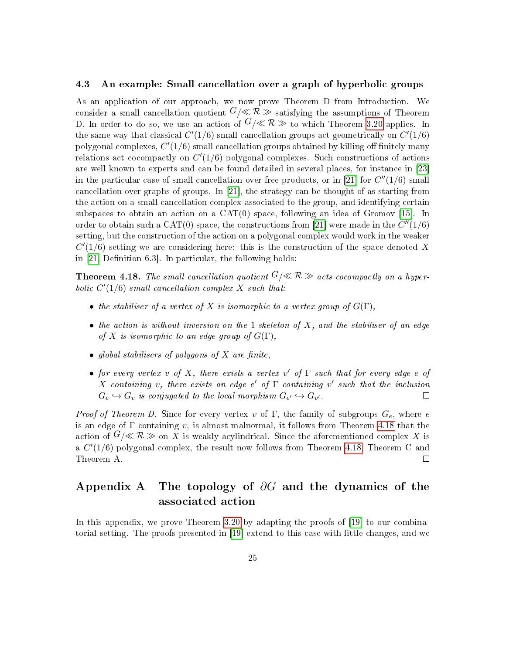#### <span id="page-24-0"></span>4.3 An example: Small cancellation over a graph of hyperbolic groups

As an application of our approach, we now prove Theorem D from Introduction. We consider a small cancellation quotient  $G/\ll R \gg$  satisfying the assumptions of Theorem D. In order to do so, we use an action of  $G/\ll R \gg$  to which Theorem [3.20](#page-15-3) applies. In the same way that classical  $C'(1/6)$  small cancellation groups act geometrically on  $C'(1/6)$ polygonal complexes,  $C'(1/6)$  small cancellation groups obtained by killing off finitely many relations act cocompactly on  $C'(1/6)$  polygonal complexes. Such constructions of actions are well known to experts and can be found detailed in several places, for instance in [\[23\]](#page-37-10) in the particular case of small cancellation over free products, or in [\[21\]](#page-37-4) for  $C''(1/6)$  small cancellation over graphs of groups. In [\[21\]](#page-37-4), the strategy can be thought of as starting from the action on a small cancellation complex associated to the group, and identifying certain subspaces to obtain an action on a  $CAT(0)$  space, following an idea of Gromov [\[15\]](#page-36-14). In order to obtain such a CAT(0) space, the constructions from [\[21\]](#page-37-4) were made in the  $C''(1/6)$ setting, but the construction of the action on a polygonal complex would work in the weaker  $C'(1/6)$  setting we are considering here: this is the construction of the space denoted X in  $[21,$  Definition 6.3. In particular, the following holds:

<span id="page-24-1"></span>**Theorem 4.18.** The small cancellation quotient  $G/\ll R \gg$  acts cocompactly on a hyperbolic  $C'(1/6)$  small cancellation complex X such that:

- the stabiliser of a vertex of X is isomorphic to a vertex group of  $G(\Gamma)$ ,
- the action is without inversion on the 1-skeleton of  $X$ , and the stabiliser of an edge of X is isomorphic to an edge group of  $G(\Gamma)$ ,
- global stabilisers of polygons of  $X$  are finite,
- for every vertex v of X, there exists a vertex v' of  $\Gamma$  such that for every edge e of X containing v, there exists an edge e' of  $\Gamma$  containing v' such that the inclusion  $G_e \hookrightarrow G_v$  is conjugated to the local morphism  $G_{e'} \hookrightarrow G_{v'}$ .  $\Box$

Proof of Theorem D. Since for every vertex v of  $\Gamma$ , the family of subgroups  $G_e$ , where e is an edge of  $\Gamma$  containing v, is almost malnormal, it follows from Theorem [4.18](#page-24-1) that the action of  $G/\ll R \gg$  on X is weakly acylindrical. Since the aforementioned complex X is a  $C'(1/6)$  polygonal complex, the result now follows from Theorem [4.18,](#page-24-1) Theorem C and Theorem A.  $\Box$ 

# Appendix A The topology of  $\partial G$  and the dynamics of the associated action

In this appendix, we prove Theorem [3.20](#page-15-3) by adapting the proofs of [\[19\]](#page-37-0) to our combinatorial setting. The proofs presented in [\[19\]](#page-37-0) extend to this case with little changes, and we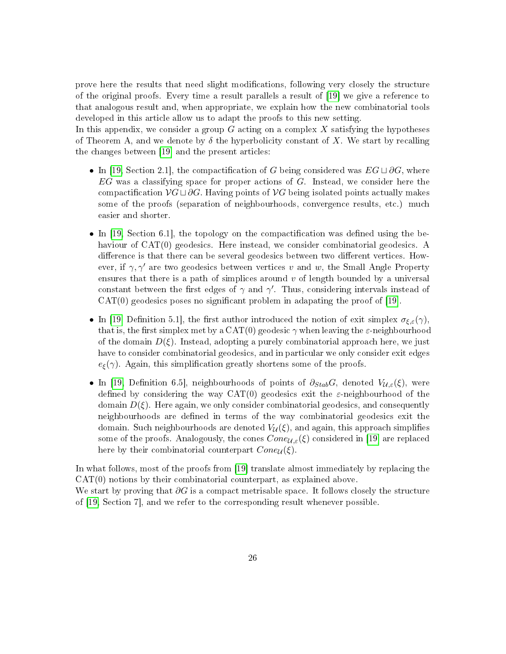prove here the results that need slight modications, following very closely the structure of the original proofs. Every time a result parallels a result of [\[19\]](#page-37-0) we give a reference to that analogous result and, when appropriate, we explain how the new combinatorial tools developed in this article allow us to adapt the proofs to this new setting.

In this appendix, we consider a group  $G$  acting on a complex  $X$  satisfying the hypotheses of Theorem A, and we denote by  $\delta$  the hyperbolicity constant of X. We start by recalling the changes between [\[19\]](#page-37-0) and the present articles:

- In [\[19,](#page-37-0) Section 2.1], the compactification of G being considered was  $EG \sqcup \partial G$ , where  $EG$  was a classifying space for proper actions of  $G$ . Instead, we consider here the compactification  $\mathcal{V}G \sqcup \partial G$ . Having points of  $\mathcal{V}G$  being isolated points actually makes some of the proofs (separation of neighbourhoods, convergence results, etc.) much easier and shorter.
- In  $[19, Section 6.1]$  $[19, Section 6.1]$ , the topology on the compactification was defined using the behaviour of CAT(0) geodesics. Here instead, we consider combinatorial geodesics. A difference is that there can be several geodesics between two different vertices. However, if  $\gamma$ ,  $\gamma'$  are two geodesics between vertices v and w, the Small Angle Property ensures that there is a path of simplices around  $v$  of length bounded by a universal constant between the first edges of  $\gamma$  and  $\gamma'$ . Thus, considering intervals instead of  $CAT(0)$  geodesics poses no significant problem in adapating the proof of [\[19\]](#page-37-0).
- In [\[19,](#page-37-0) Definition 5.1], the first author introduced the notion of exit simplex  $\sigma_{\xi,\varepsilon}(\gamma)$ , that is, the first simplex met by a  $CAT(0)$  geodesic  $\gamma$  when leaving the  $\varepsilon$ -neighbourhood of the domain  $D(\xi)$ . Instead, adopting a purely combinatorial approach here, we just have to consider combinatorial geodesics, and in particular we only consider exit edges  $e_{\xi}(\gamma)$ . Again, this simplification greatly shortens some of the proofs.
- In [\[19,](#page-37-0) Definition 6.5], neighbourhoods of points of  $\partial_{Stab}G$ , denoted  $V_{\mathcal{U},\varepsilon}(\xi)$ , were defined by considering the way  $CAT(0)$  geodesics exit the  $\varepsilon$ -neighbourhood of the domain  $D(\xi)$ . Here again, we only consider combinatorial geodesics, and consequently neighbourhoods are defined in terms of the way combinatorial geodesics exit the domain. Such neighbourhoods are denoted  $V_{\mathcal{U}}(\xi)$ , and again, this approach simplifies some of the proofs. Analogously, the cones  $Cone_{\mathcal{U},\varepsilon}(\xi)$  considered in [\[19\]](#page-37-0) are replaced here by their combinatorial counterpart  $Cone_{\mathcal{U}}(\xi)$ .

In what follows, most of the proofs from [\[19\]](#page-37-0) translate almost immediately by replacing the CAT(0) notions by their combinatorial counterpart, as explained above. We start by proving that  $\partial G$  is a compact metrisable space. It follows closely the structure of [\[19,](#page-37-0) Section 7], and we refer to the corresponding result whenever possible.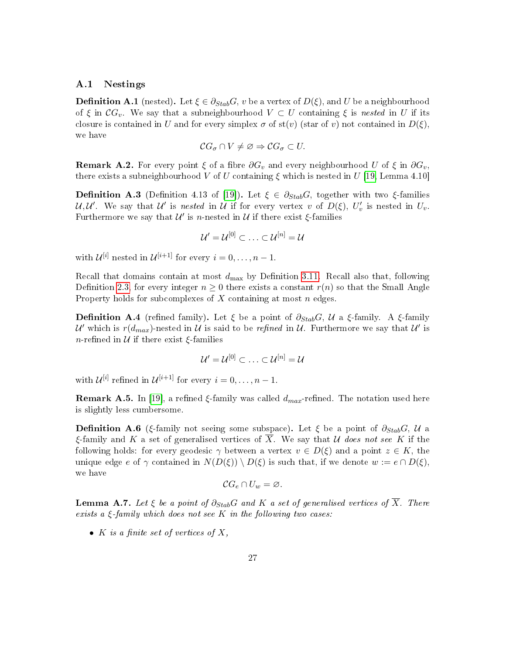### A.1 Nestings

**Definition A.1** (nested). Let  $\xi \in \partial_{Stab}G$ , v be a vertex of  $D(\xi)$ , and U be a neighbourhood of  $\xi$  in  $\mathcal{C}G_v$ . We say that a subneighbourhood  $V \subset U$  containing  $\xi$  is nested in U if its closure is contained in U and for every simplex  $\sigma$  of st(v) (star of v) not contained in  $D(\xi)$ , we have

$$
\mathcal{C}G_{\sigma}\cap V\neq\varnothing\Rightarrow\mathcal{C}G_{\sigma}\subset U.
$$

**Remark A.2.** For every point  $\xi$  of a fibre  $\partial G_v$  and every neighbourhood U of  $\xi$  in  $\partial G_v$ , there exists a subneighbourhood V of U containing  $\xi$  which is nested in U [\[19,](#page-37-0) Lemma 4.10]

**Definition A.3** (Definition 4.13 of [\[19\]](#page-37-0)). Let  $\xi \in \partial_{Stab}G$ , together with two  $\xi$ -families U,U'. We say that U' is nested in U if for every vertex v of  $D(\xi)$ ,  $U'_v$  is nested in  $U_v$ . Furthermore we say that  $\mathcal{U}'$  is *n*-nested in  $\mathcal U$  if there exist  $\xi$ -families

$$
\mathcal{U}'=\mathcal{U}^{[0]}\subset\ldots\subset\mathcal{U}^{[n]}=\mathcal{U}
$$

with  $\mathcal{U}^{[i]}$  nested in  $\mathcal{U}^{[i+1]}$  for every  $i = 0, \ldots, n-1$ .

Recall that domains contain at most  $d_{\text{max}}$  by Definition [3.11.](#page-13-0) Recall also that, following Definition [2.3,](#page-6-0) for every integer  $n \geq 0$  there exists a constant  $r(n)$  so that the Small Angle Property holds for subcomplexes of  $X$  containing at most  $n$  edges.

**Definition A.4** (refined family). Let  $\xi$  be a point of  $\partial_{Stab}G, U$  a  $\xi$ -family. A  $\xi$ -family  $\mathcal{U}'$  which is  $r(d_{max})$ -nested in  $\mathcal{U}$  is said to be refined in  $\mathcal{U}$ . Furthermore we say that  $\mathcal{U}'$  is n-refined in  $\mathcal U$  if there exist  $\xi$ -families

$$
\mathcal{U}'=\mathcal{U}^{[0]}\subset\ldots\subset\mathcal{U}^{[n]}=\mathcal{U}
$$

with  $\mathcal{U}^{[i]}$  refined in  $\mathcal{U}^{[i+1]}$  for every  $i = 0, \ldots, n-1$ .

**Remark A.5.** In [\[19\]](#page-37-0), a refined  $\xi$ -family was called  $d_{max}$ -refined. The notation used here is slightly less cumbersome.

**Definition A.6** (ξ-family not seeing some subspace). Let  $\xi$  be a point of  $\partial_{Stab}G, U$  a ξ-family and K a set of generalised vertices of  $\overline{X}$ . We say that U does not see K if the following holds: for every geodesic  $\gamma$  between a vertex  $v \in D(\xi)$  and a point  $z \in K$ , the unique edge e of  $\gamma$  contained in  $N(D(\xi)) \setminus D(\xi)$  is such that, if we denote  $w := e \cap D(\xi)$ , we have

$$
\mathcal{C}G_e\cap U_w=\varnothing.
$$

<span id="page-26-0"></span>**Lemma A.7.** Let  $\xi$  be a point of  $\partial_{Stab}G$  and K a set of generalised vertices of  $\overline{X}$ . There exists a  $\xi$ -family which does not see K in the following two cases:

• K is a finite set of vertices of X,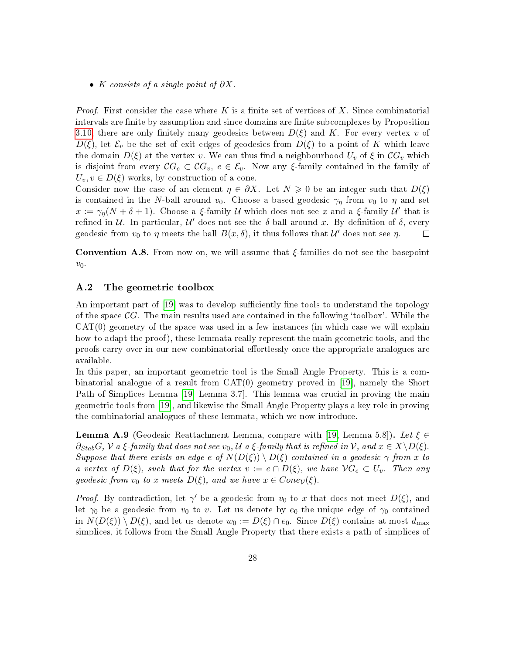• K consists of a single point of  $\partial X$ .

*Proof.* First consider the case where K is a finite set of vertices of X. Since combinatorial intervals are finite by assumption and since domains are finite subcomplexes by Proposition [3.10,](#page-12-1) there are only finitely many geodesics between  $D(\xi)$  and K. For every vertex v of  $D(\xi)$ , let  $\mathcal{E}_v$  be the set of exit edges of geodesics from  $D(\xi)$  to a point of K which leave the domain  $D(\xi)$  at the vertex v. We can thus find a neighbourhood  $U_v$  of  $\xi$  in  $\mathcal{C}G_v$  which is disjoint from every  $\mathcal{C}G_e \subset \mathcal{C}G_v$ ,  $e \in \mathcal{E}_v$ . Now any  $\xi$ -family contained in the family of  $U_v, v \in D(\xi)$  works, by construction of a cone.

Consider now the case of an element  $\eta \in \partial X$ . Let  $N \geq 0$  be an integer such that  $D(\xi)$ is contained in the N-ball around  $v_0$ . Choose a based geodesic  $\gamma_\eta$  from  $v_0$  to  $\eta$  and set  $x := \gamma_{\eta}(N + \delta + 1)$ . Choose a ξ-family U which does not see x and a ξ-family U' that is refined in  $U$ . In particular,  $U'$  does not see the  $\delta$ -ball around x. By definition of  $\delta$ , every geodesic from  $v_0$  to  $\eta$  meets the ball  $B(x,\delta)$ , it thus follows that  $\mathcal{U}'$  does not see  $\eta$ .  $\Box$ 

Convention A.8. From now on, we will assume that ξ-families do not see the basepoint  $v_0$ .

### <span id="page-27-1"></span>A.2 The geometric toolbox

An important part of [\[19\]](#page-37-0) was to develop sufficiently fine tools to understand the topology of the space  $\mathcal{C}G$ . The main results used are contained in the following 'toolbox'. While the  $CAT(0)$  geometry of the space was used in a few instances (in which case we will explain how to adapt the proof), these lemmata really represent the main geometric tools, and the proofs carry over in our new combinatorial effortlessly once the appropriate analogues are available.

In this paper, an important geometric tool is the Small Angle Property. This is a combinatorial analogue of a result from CAT(0) geometry proved in [\[19\]](#page-37-0), namely the Short Path of Simplices Lemma [\[19,](#page-37-0) Lemma 3.7]. This lemma was crucial in proving the main geometric tools from [\[19\]](#page-37-0), and likewise the Small Angle Property plays a key role in proving the combinatorial analogues of these lemmata, which we now introduce.

<span id="page-27-0"></span>**Lemma A.9** (Geodesic Reattachment Lemma, compare with [\[19,](#page-37-0) Lemma 5.8]). Let  $\xi \in \mathbb{R}$  $\partial$ StabG,  $\mathcal V$  a  $\xi$ -family that does not see  $v_0$ ,  $\mathcal U$  a  $\xi$ -family that is refined in  $\mathcal V$ , and  $x \in X \setminus D(\xi)$ . Suppose that there exists an edge e of  $N(D(\xi)) \setminus D(\xi)$  contained in a geodesic  $\gamma$  from x to a vertex of  $D(\xi)$ , such that for the vertex  $v := e \cap D(\xi)$ , we have  $\mathcal{V}G_e \subset U_v$ . Then any geodesic from  $v_0$  to x meets  $D(\xi)$ , and we have  $x \in Cone_{\mathcal{V}}(\xi)$ .

*Proof.* By contradiction, let  $\gamma'$  be a geodesic from  $v_0$  to x that does not meet  $D(\xi)$ , and let  $\gamma_0$  be a geodesic from  $v_0$  to v. Let us denote by  $e_0$  the unique edge of  $\gamma_0$  contained in  $N(D(\xi)) \setminus D(\xi)$ , and let us denote  $w_0 := D(\xi) \cap e_0$ . Since  $D(\xi)$  contains at most  $d_{\max}$ simplices, it follows from the Small Angle Property that there exists a path of simplices of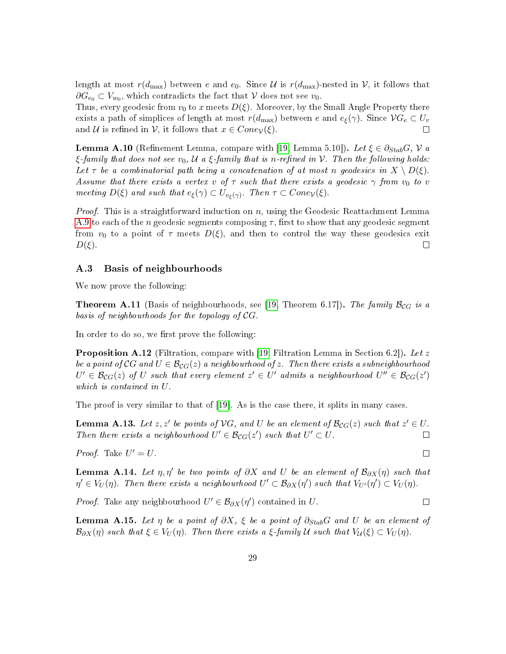length at most  $r(d_{\text{max}})$  between e and  $e_0$ . Since U is  $r(d_{\text{max}})$ -nested in V, it follows that  $\partial G_{e_0} \subset V_{w_0}$ , which contradicts the fact that  $\mathcal V$  does not see  $v_0$ .

Thus, every geodesic from  $v_0$  to x meets  $D(\xi)$ . Moreover, by the Small Angle Property there exists a path of simplices of length at most  $r(d_{\text{max}})$  between e and  $e_{\xi}(\gamma)$ . Since  $\mathcal{V}G_e \subset U_v$ <br>and  $\mathcal{U}$  is refined in  $\mathcal{V}$ , it follows that  $x \in Cone_v(\mathcal{E})$ . and U is refined in V, it follows that  $x \in Cone_{\mathcal{V}}(\xi)$ .

<span id="page-28-0"></span>**Lemma A.10** (Refinement Lemma, compare with [\[19,](#page-37-0) Lemma 5.10]). Let  $\xi \in \partial_{Stab}G$ ,  $V$  a  $\xi$ -family that does not see  $v_0$ ,  $\mathcal U$  a  $\xi$ -family that is n-refined in  $\mathcal V$ . Then the following holds: Let  $\tau$  be a combinatorial path being a concatenation of at most n geodesics in  $X \setminus D(\xi)$ . Assume that there exists a vertex v of  $\tau$  such that there exists a geodesic  $\gamma$  from  $v_0$  to v meeting  $D(\xi)$  and such that  $e_{\xi}(\gamma) \subset U_{v_{\xi}(\gamma)}$ . Then  $\tau \subset Cone_{\mathcal{V}}(\xi)$ .

*Proof.* This is a straightforward induction on n, using the Geodesic Reattachment Lemma [A.9](#page-27-0) to each of the n geodesic segments composing  $\tau$ , first to show that any geodesic segment from  $v_0$  to a point of  $\tau$  meets  $D(\xi)$ , and then to control the way these geodesics exit  $D(\xi)$ .  $\Box$ 

### A.3 Basis of neighbourhoods

We now prove the following:

**Theorem A.11** (Basis of neighbourhoods, see [\[19,](#page-37-0) Theorem 6.17]). The family  $\mathcal{B}_{CG}$  is a basis of neighbourhoods for the topology of CG.

In order to do so, we first prove the following:

**Proposition A.12** (Filtration, compare with [\[19,](#page-37-0) Filtration Lemma in Section 6.2]). Let z be a point of CG and  $U \in \mathcal{B}_{CG}(z)$  a neighbourhood of z. Then there exists a subneighbourhood  $U' \in \mathcal{B}_{CG}(z)$  of U such that every element  $z' \in U'$  admits a neighbourhood  $U'' \in \mathcal{B}_{CG}(z')$ which is contained in U.

The proof is very similar to that of [\[19\]](#page-37-0). As is the case there, it splits in many cases.

<span id="page-28-1"></span>**Lemma A.13.** Let  $z, z'$  be points of  $VG$ , and U be an element of  $\mathcal{B}_{CG}(z)$  such that  $z' \in U$ . Then there exists a neighbourhood  $U' \in \mathcal{B}_{CG}(z')$  such that  $U' \subset U$ .

*Proof.* Take  $U' = U$ .

<span id="page-28-2"></span>**Lemma A.14.** Let  $\eta$ ,  $\eta'$  be two points of  $\partial X$  and U be an element of  $\mathcal{B}_{\partial X}(\eta)$  such that  $\eta' \in V_U(\eta)$ . Then there exists a neighbourhood  $U' \subset \mathcal{B}_{\partial X}(\eta')$  such that  $V_{U'}(\eta') \subset V_U(\eta)$ .

*Proof.* Take any neighbourhood 
$$
U' \in \mathcal{B}_{\partial X}(\eta')
$$
 contained in U.

<span id="page-28-3"></span>**Lemma A.15.** Let  $\eta$  be a point of  $\partial X$ ,  $\xi$  be a point of  $\partial_{Stab}G$  and U be an element of  $\mathcal{B}_{\partial X}(\eta)$  such that  $\xi \in V_U(\eta)$ . Then there exists a  $\xi$ -family U such that  $V_U(\xi) \subset V_U(\eta)$ .

 $\Box$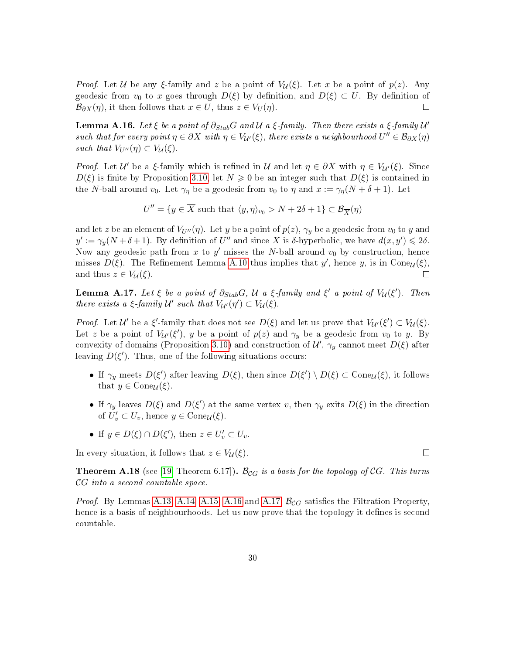*Proof.* Let U be any ξ-family and z be a point of  $V_{\mathcal{U}}(\xi)$ . Let x be a point of  $p(z)$ . Any geodesic from  $v_0$  to x goes through  $D(\xi)$  by definition, and  $D(\xi) \subset U$ . By definition of  $\mathcal{B}_{\partial X}(n)$ , it then follows that  $x \in U$ , thus  $z \in V_U(n)$ .  $\mathcal{B}_{\partial X}(\eta)$ , it then follows that  $x \in U$ , thus  $z \in V_U(\eta)$ .

<span id="page-29-0"></span>**Lemma A.16.** Let  $\xi$  be a point of  $\partial_{Stab}G$  and  $\mathcal U$  a  $\xi$ -family. Then there exists a  $\xi$ -family  $\mathcal U'$ such that for every point  $\eta \in \partial X$  with  $\eta \in V_{\mathcal{U}'}(\xi)$ , there exists a neighbourhood  $U'' \in \mathcal{B}_{\partial X}(\eta)$ such that  $V_{U''}(\eta) \subset V_{\mathcal{U}}(\xi)$ .

*Proof.* Let  $\mathcal{U}'$  be a ξ-family which is refined in  $\mathcal{U}$  and let  $\eta \in \partial X$  with  $\eta \in V_{\mathcal{U}'}(\xi)$ . Since  $D(\xi)$  is finite by Proposition [3.10,](#page-12-1) let  $N \geq 0$  be an integer such that  $D(\xi)$  is contained in the N-ball around  $v_0$ . Let  $\gamma_\eta$  be a geodesic from  $v_0$  to  $\eta$  and  $x := \gamma_\eta(N + \delta + 1)$ . Let

$$
U''=\{y\in \overline{X} \text{ such that } \langle y,\eta\rangle_{v_0}>N+2\delta+1\}\subset \mathcal{B}_{\overline{X}}(\eta)
$$

and let z be an element of  $V_{U''}(\eta)$ . Let y be a point of  $p(z)$ ,  $\gamma_y$  be a geodesic from  $v_0$  to y and  $y' := \gamma_y(N + \delta + 1)$ . By definition of U'' and since X is  $\delta$ -hyperbolic, we have  $d(x, y') \leq 2\delta$ . Now any geodesic path from x to  $y'$  misses the N-ball around  $v_0$  by construction, hence misses  $D(\xi)$ . The Refinement Lemma [A.10](#page-28-0) thus implies that y', hence y, is in Cone<sub> $U(\xi)$ </sub>, and thus  $z \in V_{\mathcal{U}}(\xi)$ .  $\Box$ 

<span id="page-29-1"></span>**Lemma A.17.** Let  $\xi$  be a point of  $\partial_{Stab}G$ ,  $\mathcal U$  a  $\xi$ -family and  $\xi'$  a point of  $V_{\mathcal U}(\xi')$ . Then there exists a  $\xi$ -family  $\mathcal{U}'$  such that  $V_{\mathcal{U}'}(\eta') \subset V_{\mathcal{U}}(\xi)$ .

Proof. Let  $\mathcal{U}'$  be a  $\xi'$ -family that does not see  $D(\xi)$  and let us prove that  $V_{\mathcal{U}'}(\xi') \subset V_{\mathcal{U}}(\xi)$ . Let z be a point of  $V_{\mathcal{U}}(\xi')$ , y be a point of  $p(z)$  and  $\gamma_y$  be a geodesic from  $v_0$  to y. By convexity of domains (Proposition [3.10\)](#page-12-1) and construction of  $\mathcal{U}'$ ,  $\gamma_y$  cannot meet  $D(\xi)$  after leaving  $D(\xi')$ . Thus, one of the following situations occurs:

- If  $\gamma_y$  meets  $D(\xi')$  after leaving  $D(\xi)$ , then since  $D(\xi') \setminus D(\xi) \subset \text{Cone}_{\mathcal{U}}(\xi)$ , it follows that  $y \in \text{Cone}_{\mathcal{U}}(\xi)$ .
- If  $\gamma_y$  leaves  $D(\xi)$  and  $D(\xi')$  at the same vertex v, then  $\gamma_y$  exits  $D(\xi)$  in the direction of  $U'_v \subset U_v$ , hence  $y \in \text{Cone}_{\mathcal{U}}(\xi)$ .
- If  $y \in D(\xi) \cap D(\xi')$ , then  $z \in U'_v \subset U_v$ .

In every situation, it follows that  $z \in V_{\mathcal{U}}(\xi)$ .

<span id="page-29-2"></span>**Theorem A.18** (see [\[19,](#page-37-0) Theorem 6.17]).  $B_{CG}$  is a basis for the topology of CG. This turns CG into a second countable space.

*Proof.* By Lemmas [A.13,](#page-28-1) [A.14,](#page-28-2) [A.15,](#page-28-3) [A.16](#page-29-0) and [A.17,](#page-29-1)  $\mathcal{B}_{CG}$  satisfies the Filtration Property, hence is a basis of neighbourhoods. Let us now prove that the topology it defines is second countable.

 $\Box$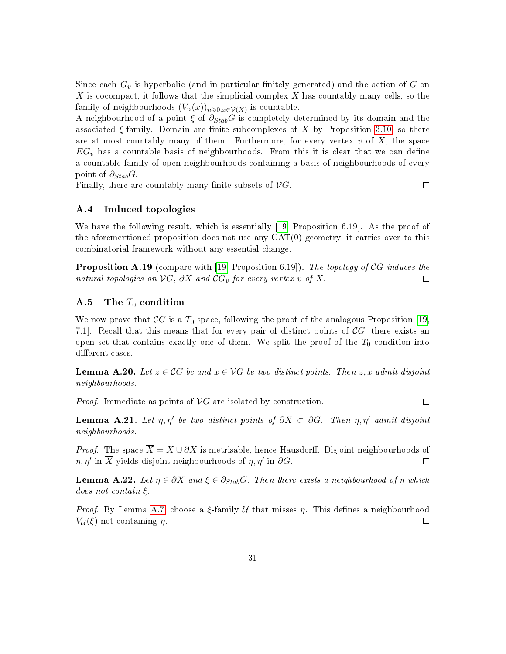Since each  $G_v$  is hyperbolic (and in particular finitely generated) and the action of G on X is cocompact, it follows that the simplicial complex  $X$  has countably many cells, so the family of neighbourhoods  $(V_n(x))_{n \geqslant 0, x \in \mathcal{V}(X)}$  is countable.

A neighbourhood of a point  $\xi$  of  $\partial_{Stab}G$  is completely determined by its domain and the associated  $\xi$ -family. Domain are finite subcomplexes of X by Proposition [3.10,](#page-12-1) so there are at most countably many of them. Furthermore, for every vertex  $v$  of  $X$ , the space  $EG_v$  has a countable basis of neighbourhoods. From this it is clear that we can define a countable family of open neighbourhoods containing a basis of neighbourhoods of every point of  $\partial_{Stab}G$ .

Finally, there are countably many finite subsets of  $\mathcal{V}G$ .

 $\Box$ 

# A.4 Induced topologies

We have the following result, which is essentially [\[19,](#page-37-0) Proposition 6.19]. As the proof of the aforementioned proposition does not use any  $CAT(0)$  geometry, it carries over to this combinatorial framework without any essential change.

<span id="page-30-0"></span>**Proposition A.19** (compare with [\[19,](#page-37-0) Proposition 6.19]). The topology of CG induces the natural topologies on  $\mathcal{V}G$ .  $\partial X$  and  $\mathcal{C}G$ <sub>r</sub> for every vertex v of X. natural topologies on  $\mathcal{V}G$ ,  $\partial X$  and  $\mathcal{C}G_v$  for every vertex v of X.

# A.5 The  $T_0$ -condition

We now prove that  $\mathcal{C}G$  is a  $T_0$ -space, following the proof of the analogous Proposition [\[19,](#page-37-0) 7.1. Recall that this means that for every pair of distinct points of  $\mathcal{C}G$ , there exists an open set that contains exactly one of them. We split the proof of the  $T_0$  condition into different cases.

**Lemma A.20.** Let  $z \in \mathcal{C}G$  be and  $x \in \mathcal{V}G$  be two distinct points. Then  $z, x$  admit disjoint neighbourhoods.

*Proof.* Immediate as points of  $VG$  are isolated by construction.

 $\Box$ 

**Lemma A.21.** Let  $\eta$ ,  $\eta'$  be two distinct points of  $\partial X \subset \partial G$ . Then  $\eta$ ,  $\eta'$  admit disjoint neighbourhoods.

*Proof.* The space  $\overline{X} = X \cup \partial X$  is metrisable, hence Hausdorff. Disjoint neighbourhoods of  $\eta$ ,  $\eta'$  in  $\overline{X}$  vields disjoint neighbourhoods of  $\eta$ ,  $\eta'$  in  $\partial G$ .  $\eta, \eta'$  in  $\overline{X}$  yields disjoint neighbourhoods of  $\eta, \eta'$  in  $\partial G.$ 

**Lemma A.22.** Let  $\eta \in \partial X$  and  $\xi \in \partial_{Stab}G$ . Then there exists a neighbourhood of  $\eta$  which does not contain ξ.

*Proof.* By Lemma [A.7,](#page-26-0) choose a  $\xi$ -family  $\mathcal U$  that misses  $\eta$ . This defines a neighbourhood  $V_{\mathcal{U}}(\xi)$  not containing  $\eta$ .  $V_{\mathcal{U}}(\xi)$  not containing  $\eta$ .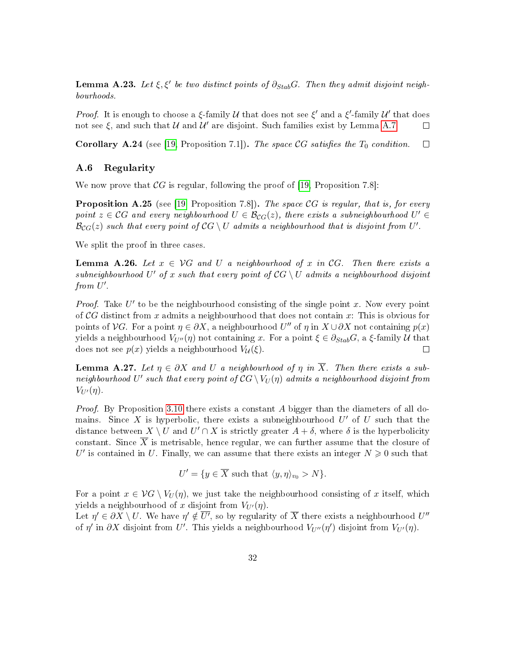**Lemma A.23.** Let  $\xi, \xi'$  be two distinct points of  $\partial_{Stab}G$ . Then they admit disjoint neighbourhoods.

*Proof.* It is enough to choose a  $\xi$ -family  $\mathcal U$  that does not see  $\xi'$  and a  $\xi'$ -family  $\mathcal U'$  that does not see  $\xi$ , and such that  $\mathcal U$  and  $\mathcal U'$  are disjoint. Such families exist by Lemma [A.7.](#page-26-0)  $\Box$ 

<span id="page-31-0"></span>**Corollary A.24** (see [\[19,](#page-37-0) Proposition 7.1]). The space CG satisfies the  $T_0$  condition.  $\Box$ 

### A.6 Regularity

We now prove that  $\mathcal{C}G$  is regular, following the proof of [\[19,](#page-37-0) Proposition 7.8]:

<span id="page-31-1"></span>**Proposition A.25** (see [\[19,](#page-37-0) Proposition 7.8]). The space  $CG$  is regular, that is, for every point  $z \in \mathcal{C}G$  and every neighbourhood  $U \in \mathcal{B}_{CG}(z)$ , there exists a subneighbourhood  $U' \in$  $\mathcal{B}_{CG}(z)$  such that every point of  $\mathcal{C}G \setminus U$  admits a neighbourhood that is disjoint from  $U'.$ 

We split the proof in three cases.

**Lemma A.26.** Let  $x \in \mathcal{V}G$  and U a neighbourhood of x in CG. Then there exists a  $subneighborhood$  U' of x such that every point of  ${\mathcal{C}} G \setminus U$  admits a neighbourhood disjoint from  $U'$ .

*Proof.* Take  $U'$  to be the neighbourhood consisting of the single point x. Now every point of  $\mathcal{C}G$  distinct from x admits a neighbourhood that does not contain x: This is obvious for points of  $\mathcal{V}G$ . For a point  $\eta \in \partial X$ , a neighbourhood  $U''$  of  $\eta$  in  $X \cup \partial X$  not containing  $p(x)$ yields a neighbourhood  $V_{U''}(\eta)$  not containing x. For a point  $\xi \in \partial_{Stab}G$ , a  $\xi$ -family U that does not see  $p(x)$  yields a neighbourhood  $V_{\mathcal{U}}(\xi)$ . does not see  $p(x)$  yields a neighbourhood  $V_{\mathcal{U}}(\xi)$ .

**Lemma A.27.** Let  $\eta \in \partial X$  and U a neighbourhood of  $\eta$  in  $\overline{X}$ . Then there exists a subneighbourhood  $U'$  such that every point of  $\mathcal{C}G \setminus V_U(\eta)$  admits a neighbourhood disjoint from  $V_{U}(\eta)$ .

Proof. By Proposition [3.10](#page-12-1) there exists a constant A bigger than the diameters of all domains. Since X is hyperbolic, there exists a subneighbourhood  $U'$  of U such that the distance between  $X \setminus U$  and  $U' \cap X$  is strictly greater  $A + \delta$ , where  $\delta$  is the hyperbolicity constant. Since  $\overline{X}$  is metrisable, hence regular, we can further assume that the closure of U' is contained in U. Finally, we can assume that there exists an integer  $N \geqslant 0$  such that

$$
U' = \{ y \in \overline{X} \text{ such that } \langle y, \eta \rangle_{v_0} > N \}.
$$

For a point  $x \in \mathcal{V}G \setminus V_U(\eta)$ , we just take the neighbourhood consisting of x itself, which yields a neighbourhood of x disjoint from  $V_{U}(\eta)$ .

Let  $\eta' \in \partial X \setminus U$ . We have  $\eta' \notin \overline{U'}$ , so by regularity of  $\overline{X}$  there exists a neighbourhood  $U''$ of  $\eta'$  in  $\partial X$  disjoint from U'. This yields a neighbourhood  $V_{U''}(\eta')$  disjoint from  $V_{U'}(\eta)$ .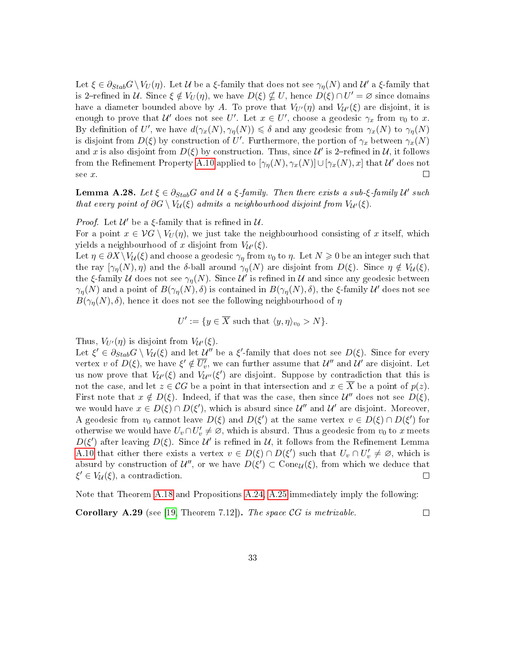Let  $\xi \in \partial_{Stab} G \setminus V_U(\eta)$ . Let  $\mathcal U$  be a  $\xi$ -family that does not see  $\gamma_\eta(N)$  and  $\mathcal U'$  a  $\xi$ -family that is 2-refined in U. Since  $\xi \notin V_U(\eta)$ , we have  $D(\xi) \nsubseteq U$ , hence  $D(\xi) \cap U' = \varnothing$  since domains have a diameter bounded above by A. To prove that  $V_{U'}(\eta)$  and  $V_{U'}(\xi)$  are disjoint, it is enough to prove that  $\mathcal{U}'$  does not see U'. Let  $x \in U'$ , choose a geodesic  $\gamma_x$  from  $v_0$  to x. By definition of U', we have  $d(\gamma_x(N), \gamma_y(N)) \leq \delta$  and any geodesic from  $\gamma_x(N)$  to  $\gamma_y(N)$ is disjoint from  $D(\xi)$  by construction of  $U'$ . Furthermore, the portion of  $\gamma_x$  between  $\gamma_x(N)$ and x is also disjoint from  $D(\xi)$  by construction. Thus, since  $\mathcal{U}'$  is 2-refined in  $\mathcal{U}$ , it follows from the Refinement Property [A.10](#page-28-0) applied to  $[\gamma_\eta(N),\gamma_x(N)]\cup[\gamma_x(N),x]$  that  $\mathcal U'$  does not see x.  $\Box$ 

**Lemma A.28.** Let  $\xi \in \partial_{Stab}G$  and  $\mathcal{U}$  a  $\xi$ -family. Then there exists a sub- $\xi$ -family  $\mathcal{U}'$  such that every point of  $\partial G \setminus V_{\mathcal{U}}(\xi)$  admits a neighbourhood disjoint from  $V_{\mathcal{U}'}(\xi)$ .

*Proof.* Let  $\mathcal{U}'$  be a  $\xi$ -family that is refined in  $\mathcal{U}$ .

For a point  $x \in \mathcal{V}G \setminus V_U(\eta)$ , we just take the neighbourhood consisting of x itself, which yields a neighbourhood of x disjoint from  $V_{\mathcal{U}}(\xi)$ .

Let  $\eta \in \partial X \setminus V_{\mathcal{U}}(\xi)$  and choose a geodesic  $\gamma_n$  from  $v_0$  to  $\eta$ . Let  $N \geq 0$  be an integer such that the ray  $[\gamma_{\eta}(N), \eta]$  and the δ-ball around  $\gamma_{\eta}(N)$  are disjoint from  $D(\xi)$ . Since  $\eta \notin V_{\mathcal{U}}(\xi)$ , the ξ-family U does not see  $\gamma_{\eta}(N)$ . Since U' is refined in U and since any geodesic between  $\gamma_\eta(N)$  and a point of  $B(\gamma_\eta(N), \delta)$  is contained in  $B(\gamma_\eta(N), \delta)$ , the ξ-family  $\mathcal U'$  does not see  $B(\gamma_n(N), \delta)$ , hence it does not see the following neighbourhood of  $\eta$ 

 $U' := \{ y \in \overline{X} \text{ such that } \langle y, \eta \rangle_{v_0} > N \}.$ 

Thus,  $V_{U'}(\eta)$  is disjoint from  $V_{U'}(\xi)$ .

Let  $\xi' \in \partial_{Stab} G \setminus V_{\mathcal{U}}(\xi)$  and let  $\mathcal{U}''$  be a  $\xi'$ -family that does not see  $D(\xi)$ . Since for every vertex v of  $D(\xi)$ , we have  $\xi' \notin \overline{U'_v}$ , we can further assume that  $\mathcal{U}''$  and  $\mathcal{U}'$  are disjoint. Let us now prove that  $V_{\mathcal{U}'}(\xi)$  and  $V_{\mathcal{U}''}(\xi')$  are disjoint. Suppose by contradiction that this is not the case, and let  $z \in \mathcal{C}G$  be a point in that intersection and  $x \in \overline{X}$  be a point of  $p(z)$ . First note that  $x \notin D(\xi)$ . Indeed, if that was the case, then since  $\mathcal{U}''$  does not see  $D(\xi)$ , we would have  $x \in D(\xi) \cap D(\xi')$ , which is absurd since  $\mathcal{U}''$  and  $\mathcal{U}'$  are disjoint. Moreover, A geodesic from  $v_0$  cannot leave  $D(\xi)$  and  $D(\xi')$  at the same vertex  $v \in D(\xi) \cap D(\xi')$  for otherwise we would have  $U_v \cap U'_v \neq \emptyset$ , which is absurd. Thus a geodesic from  $v_0$  to x meets  $D(\xi')$  after leaving  $D(\xi)$ . Since  $\mathcal{U}'$  is refined in  $\mathcal{U}$ , it follows from the Refinement Lemma [A.10](#page-28-0) that either there exists a vertex  $v \in D(\xi) \cap D(\xi')$  such that  $U_v \cap U'_v \neq \emptyset$ , which is absurd by construction of  $\mathcal{U}''$ , or we have  $D(\xi') \subset \text{Cone}_{\mathcal{U}}(\xi)$ , from which we deduce that  $\xi' \in V_{\mathcal{U}}(\xi)$ , a contradiction.

Note that Theorem [A.18](#page-29-2) and Propositions [A.24,](#page-31-0) [A.25](#page-31-1) immediately imply the following:

<span id="page-32-0"></span>**Corollary A.29** (see [\[19,](#page-37-0) Theorem 7.12]). The space  $CG$  is metrizable.

 $\Box$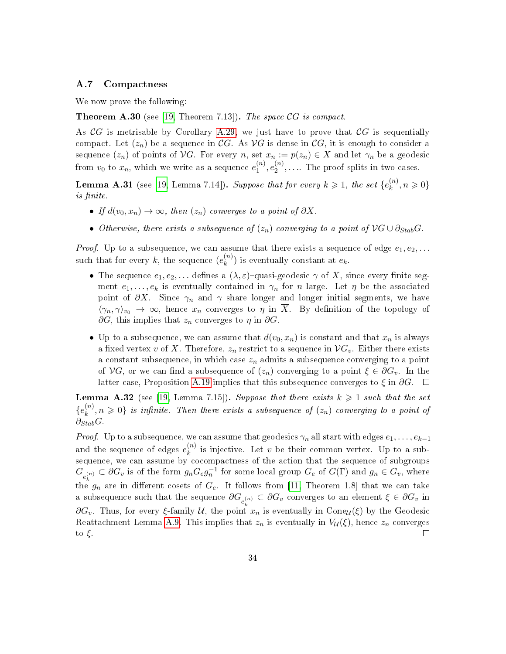### A.7 Compactness

We now prove the following:

**Theorem A.30** (see [\[19,](#page-37-0) Theorem 7.13]). The space  $CG$  is compact.

As  $\mathcal{C}G$  is metrisable by Corollary [A.29,](#page-32-0) we just have to prove that  $\mathcal{C}G$  is sequentially compact. Let  $(z_n)$  be a sequence in CG. As VG is dense in CG, it is enough to consider a sequence  $(z_n)$  of points of VG. For every n, set  $x_n := p(z_n) \in X$  and let  $\gamma_n$  be a geodesic from  $v_0$  to  $x_n$ , which we write as a sequence  $e_1^{(n)}$  $\binom{n}{1}, e_2^{(n)}$  $2^{(n)}, \ldots$  The proof splits in two cases.

**Lemma A.31** (see [\[19,](#page-37-0) Lemma 7.14]). Suppose that for every  $k \geq 1$ , the set  $\{e_k^{(n)}\}$  $\binom{n}{k}, n \geqslant 0$ is finite.

- If  $d(v_0, x_n) \to \infty$ , then  $(z_n)$  converges to a point of  $\partial X$ .
- Otherwise, there exists a subsequence of  $(z_n)$  converging to a point of  $\mathcal{V}G \cup \partial_{Stab}G$ .

*Proof.* Up to a subsequence, we can assume that there exists a sequence of edge  $e_1, e_2, \ldots$ such that for every  $k$ , the sequence  $(e_k^{(n)})$  $\binom{n}{k}$  is eventually constant at  $e_k$ .

- The sequence  $e_1, e_2, \ldots$  defines a  $(\lambda, \varepsilon)$ -quasi-geodesic  $\gamma$  of X, since every finite segment  $e_1, \ldots, e_k$  is eventually contained in  $\gamma_n$  for n large. Let  $\eta$  be the associated point of  $\partial X$ . Since  $\gamma_n$  and  $\gamma$  share longer and longer initial segments, we have  $\langle \gamma_n, \gamma \rangle_{v_0} \to \infty$ , hence  $x_n$  converges to  $\eta$  in  $\overline{X}$ . By definition of the topology of  $\partial G$ , this implies that  $z_n$  converges to  $\eta$  in  $\partial G$ .
- Up to a subsequence, we can assume that  $d(v_0, x_n)$  is constant and that  $x_n$  is always a fixed vertex v of X. Therefore,  $z_n$  restrict to a sequence in  $\mathcal{V}G_v$ . Either there exists a constant subsequence, in which case  $z_n$  admits a subsequence converging to a point of  $\mathcal{V}G$ , or we can find a subsequence of  $(z_n)$  converging to a point  $\xi \in \partial G_v$ . In the latter case, Proposition [A.19](#page-30-0) implies that this subsequence converges to  $\xi$  in  $\partial G$ .  $\Box$

**Lemma A.32** (see [\[19,](#page-37-0) Lemma 7.15]). Suppose that there exists  $k \geq 1$  such that the set  $\{e_k^{(n)}\}$  $\{n,n\geqslant 0\}$  is infinite. Then there exists a subsequence of  $(z_n)$  converging to a point of  $\partial_{Stab}G$ .

*Proof.* Up to a subsequence, we can assume that geodesics  $\gamma_n$  all start with edges  $e_1, \ldots, e_{k-1}$ and the sequence of edges  $e_k^{(n)}$  $\binom{n}{k}$  is injective. Let v be their common vertex. Up to a subsequence, we can assume by cocompactness of the action that the sequence of subgroups  $G_{e_{\iota}^{(n)}} \subset \partial G_v$  is of the form  $g_n G_e g_n^{-1}$  for some local group  $G_e$  of  $G(\Gamma)$  and  $g_n \in G_v$ , where the  $g_n$  are in different cosets of  $G_e$ . It follows from [\[11,](#page-36-4) Theorem 1.8] that we can take a subsequence such that the sequence  $\partial G_{e^{(n)}_k} \subset \partial G_v$  converges to an element  $\xi \in \partial G_v$  in  $\partial G_v$ . Thus, for every ξ-family U, the point  $x_n$  is eventually in Cone<sub>U</sub>(ξ) by the Geodesic Reattachment Lemma [A.9.](#page-27-0) This implies that  $z_n$  is eventually in  $V_u(\xi)$ , hence  $z_n$  converges to  $\xi$ .  $\Box$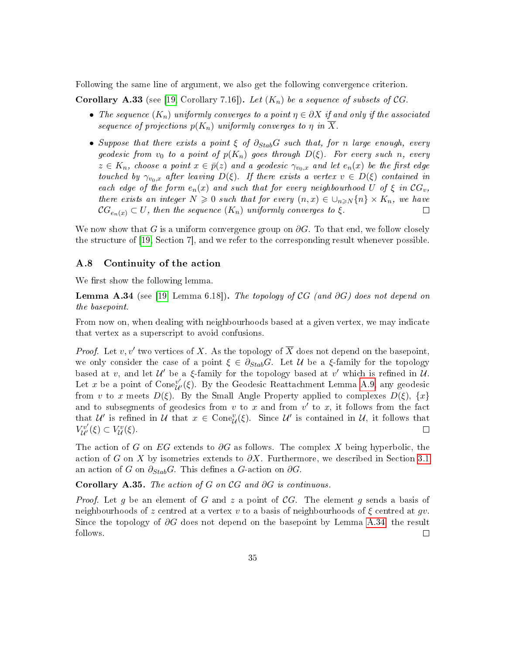Following the same line of argument, we also get the following convergence criterion.

<span id="page-34-1"></span>**Corollary A.33** (see [\[19,](#page-37-0) Corollary 7.16]). Let  $(K_n)$  be a sequence of subsets of CG.

- The sequence  $(K_n)$  uniformly converges to a point  $\eta \in \partial X$  if and only if the associated sequence of projections  $p(K_n)$  uniformly converges to  $\eta$  in  $\overline{X}$ .
- Suppose that there exists a point  $\xi$  of  $\partial_{Stab}G$  such that, for n large enough, every geodesic from  $v_0$  to a point of  $p(K_n)$  goes through  $D(\xi)$ . For every such n, every  $z \in K_n$ , choose a point  $x \in \bar{p}(z)$  and a geodesic  $\gamma_{v_0,x}$  and let  $e_n(x)$  be the first edge touched by  $\gamma_{v_0,x}$  after leaving  $D(\xi)$ . If there exists a vertex  $v \in D(\xi)$  contained in each edge of the form  $e_n(x)$  and such that for every neighbourhood U of  $\xi$  in  $CG_v$ , there exists an integer  $N \geq 0$  such that for every  $(n, x) \in \bigcup_{n \geq N} \{n\} \times K_n$ , we have  $\mathcal{C}G_{\alpha, (n)} \subset U$ , then the sequence  $(K_n)$  uniformly converges to  $\xi$ .  $\mathcal{C}G_{e_n}(x) \subset U$ , then the sequence  $(K_n)$  uniformly converges to  $\xi$ .

We now show that G is a uniform convergence group on  $\partial G$ . To that end, we follow closely the structure of [\[19,](#page-37-0) Section 7], and we refer to the corresponding result whenever possible.

### A.8 Continuity of the action

We first show the following lemma.

<span id="page-34-0"></span>**Lemma A.34** (see [\[19,](#page-37-0) Lemma 6.18]). The topology of CG (and  $\partial G$ ) does not depend on the basepoint.

From now on, when dealing with neighbourhoods based at a given vertex, we may indicate that vertex as a superscript to avoid confusions.

*Proof.* Let  $v, v'$  two vertices of X. As the topology of  $\overline{X}$  does not depend on the basepoint, we only consider the case of a point  $\xi \in \partial_{Stab}G$ . Let U be a  $\xi$ -family for the topology based at v, and let  $\mathcal{U}'$  be a  $\xi$ -family for the topology based at v' which is refined in  $\mathcal{U}$ . Let x be a point of  $\text{Cone}_{\mathcal{U}}^{v'}(\xi)$ . By the Geodesic Reattachment Lemma [A.9,](#page-27-0) any geodesic from v to x meets  $D(\xi)$ . By the Small Angle Property applied to complexes  $D(\xi)$ ,  $\{x\}$ and to subsegments of geodesics from  $v$  to  $x$  and from  $v'$  to  $x$ , it follows from the fact that  $\mathcal{U}'$  is refined in  $\mathcal{U}$  that  $x \in \text{Cone}_{\mathcal{U}}^v(\xi)$ . Since  $\mathcal{U}'$  is contained in  $\mathcal{U}$ , it follows that  $V^{v'}_{\mathcal{U}'}(\xi) \subset V^v_{\mathcal{U}}(\xi).$ 

The action of G on EG extends to  $\partial G$  as follows. The complex X being hyperbolic, the action of G on X by isometries extends to  $\partial X$ . Furthermore, we described in Section [3.1](#page-9-1) an action of G on  $\partial_{Stab}G$ . This defines a G-action on  $\partial G$ .

Corollary A.35. The action of G on  $\mathcal{C}G$  and  $\partial G$  is continuous.

*Proof.* Let g be an element of G and z a point of CG. The element g sends a basis of neighbourhoods of z centred at a vertex v to a basis of neighbourhoods of  $\xi$  centred at gv. Since the topology of  $\partial G$  does not depend on the basepoint by Lemma [A.34,](#page-34-0) the result follows.  $\Box$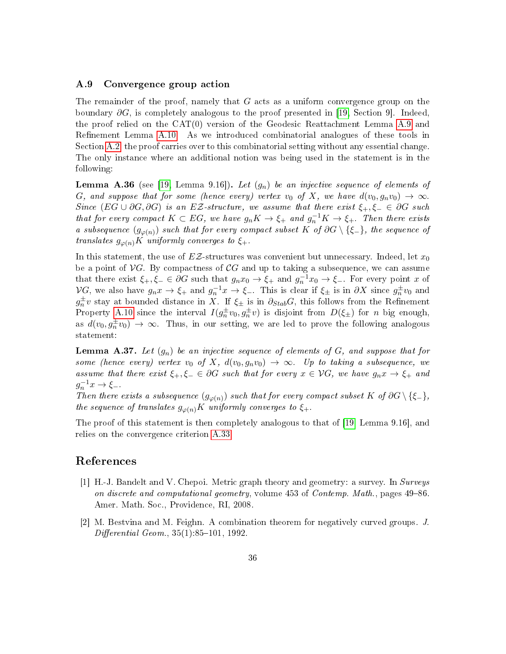### A.9 Convergence group action

The remainder of the proof, namely that  $G$  acts as a uniform convergence group on the boundary  $\partial G$ , is completely analogous to the proof presented in [\[19,](#page-37-0) Section 9]. Indeed, the proof relied on the CAT(0) version of the Geodesic Reattachment Lemma [A.9](#page-27-0) and Refinement Lemma [A.10.](#page-28-0) As we introduced combinatorial analogues of these tools in Section [A.2,](#page-27-1) the proof carries over to this combinatorial setting without any essential change. The only instance where an additional notion was being used in the statement is in the following:

**Lemma A.36** (see [\[19,](#page-37-0) Lemma 9.16]). Let  $(g_n)$  be an injective sequence of elements of G, and suppose that for some (hence every) vertex  $v_0$  of X, we have  $d(v_0, g_n v_0) \rightarrow \infty$ . Since  $(EG \cup \partial G, \partial G)$  is an EZ-structure, we assume that there exist  $\xi_+,\xi_- \in \partial G$  such that for every compact  $K \subset EG$ , we have  $g_n K \to \xi_+$  and  $g_n^{-1} K \to \xi_+$ . Then there exists a subsequence  $(g_{\varphi(n)})$  such that for every compact subset K of  $\partial G \setminus \{\xi_-\}$ , the sequence of translates  $g_{\varphi(n)}K$  uniformly converges to  $\xi_+$ .

In this statement, the use of  $EZ$ -structures was convenient but unnecessary. Indeed, let  $x_0$ be a point of  $\mathcal{V}G$ . By compactness of CG and up to taking a subsequence, we can assume that there exist  $\xi_+,\xi_-\in \partial G$  such that  $g_nx_0\to \xi_+$  and  $g_n^{-1}x_0\to \xi_-$ . For every point x of  $\mathcal{V}G$ , we also have  $g_n x \to \xi_+$  and  $g_n^{-1} x \to \xi_-$ . This is clear if  $\xi_{\pm}$  is in  $\partial X$  since  $g_n^{\pm} v_0$  and  $g_n^{\pm}v$  stay at bounded distance in X. If  $\xi_{\pm}$  is in  $\partial_{Stab}G$ , this follows from the Refinement Property [A.10](#page-28-0) since the interval  $I(g_n^{\pm}v_0, g_n^{\pm}v)$  is disjoint from  $D(\xi_{\pm})$  for n big enough, as  $d(v_0, g_n^{\pm}v_0) \to \infty$ . Thus, in our setting, we are led to prove the following analogous statement:

**Lemma A.37.** Let  $(g_n)$  be an injective sequence of elements of  $G$ , and suppose that for some (hence every) vertex  $v_0$  of X,  $d(v_0, g_n v_0) \rightarrow \infty$ . Up to taking a subsequence, we assume that there exist  $\xi_+,\xi_-\in\partial G$  such that for every  $x\in\mathcal{V}G$ , we have  $g_nx\to\xi_+$  and  $g_n^{-1}x \to \xi_-.$ 

Then there exists a subsequence  $(g_{\varphi(n)})$  such that for every compact subset K of  $\partial G \setminus \{\xi_-\}$ , the sequence of translates  $g_{\varphi(n)}K$  uniformly converges to  $\xi_+$ .

The proof of this statement is then completely analogous to that of [\[19,](#page-37-0) Lemma 9.16], and relies on the convergence criterion [A.33.](#page-34-1)

## References

- <span id="page-35-1"></span>[1] H.-J. Bandelt and V. Chepoi. Metric graph theory and geometry: a survey. In Surveys on discrete and computational geometry, volume  $453$  of Contemp. Math., pages  $49-86$ . Amer. Math. Soc., Providence, RI, 2008.
- <span id="page-35-0"></span>[2] M. Bestvina and M. Feighn. A combination theorem for negatively curved groups. J.  $Differential Geom. 35(1) 85-101, 1992.$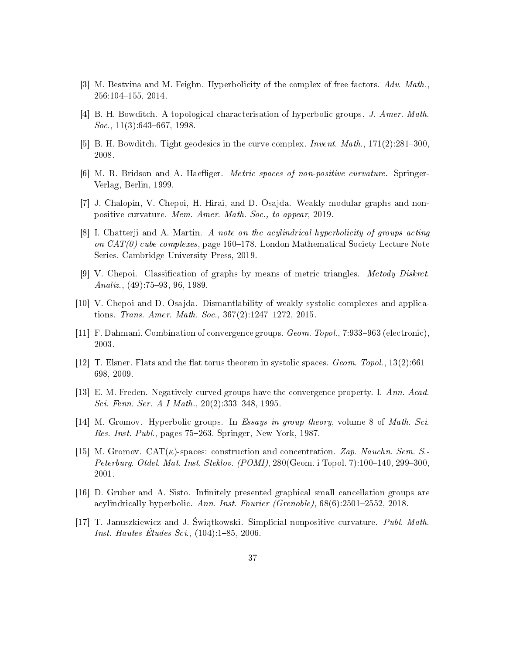- <span id="page-36-1"></span>[3] M. Bestvina and M. Feighn. Hyperbolicity of the complex of free factors. Adv. Math., 256:104-155, 2014.
- <span id="page-36-5"></span>[4] B. H. Bowditch. A topological characterisation of hyperbolic groups. J. Amer. Math.  $Soc.$ , 11(3):643–667, 1998.
- <span id="page-36-8"></span>[5] B. H. Bowditch. Tight geodesics in the curve complex. *Invent. Math.*,  $171(2):281-300$ , 2008.
- <span id="page-36-9"></span>[6] M. R. Bridson and A. Haefliger. *Metric spaces of non-positive curvature*. Springer-Verlag, Berlin, 1999.
- <span id="page-36-7"></span>[7] J. Chalopin, V. Chepoi, H. Hirai, and D. Osajda. Weakly modular graphs and nonpositive curvature. Mem. Amer. Math. Soc., to appear, 2019.
- <span id="page-36-3"></span>[8] I. Chatterji and A. Martin. A note on the acylindrical hyperbolicity of groups acting on  $CAT(0)$  cube complexes, page 160–178. London Mathematical Society Lecture Note Series. Cambridge University Press, 2019.
- <span id="page-36-12"></span>[9] V. Chepoi. Classification of graphs by means of metric triangles. *Metody Diskret.* Analiz.,  $(49):75-93, 96, 1989.$
- <span id="page-36-6"></span>[10] V. Chepoi and D. Osajda. Dismantlability of weakly systolic complexes and applications. Trans. Amer. Math. Soc.,  $367(2):1247-1272$ ,  $2015$ .
- <span id="page-36-4"></span>[11] F. Dahmani. Combination of convergence groups. *Geom. Topol.*,  $7:933-963$  (electronic), 2003.
- <span id="page-36-11"></span>[12] T. Elsner. Flats and the flat torus theorem in systolic spaces. Geom. Topol.,  $13(2):661-$ 698, 2009.
- <span id="page-36-10"></span>[13] E. M. Freden. Negatively curved groups have the convergence property. I. Ann. Acad. Sci. Fenn. Ser. A I Math.,  $20(2):333-348$ , 1995.
- <span id="page-36-0"></span>[14] M. Gromov. Hyperbolic groups. In Essays in group theory, volume 8 of Math. Sci. Res. Inst. Publ., pages 75–263. Springer, New York, 1987.
- <span id="page-36-14"></span>[15] M. Gromov.  $CAT(\kappa)$ -spaces: construction and concentration. Zap. Nauchn. Sem. S. Peterburg. Otdel. Mat. Inst. Steklov.  $(POMI)$ , 280 $(Geom. i Topol. 7)$ :100-140, 299-300, 2001.
- <span id="page-36-13"></span>[16] D. Gruber and A. Sisto. Infinitely presented graphical small cancellation groups are acylindrically hyperbolic. Ann. Inst. Fourier (Grenoble),  $68(6)$ :2501-2552, 2018.
- <span id="page-36-2"></span>[17] T. Januszkiewicz and J. Świątkowski. Simplicial nonpositive curvature. Publ. Math. *Inst. Hautes Études Sci.*,  $(104):1-85, 2006$ .